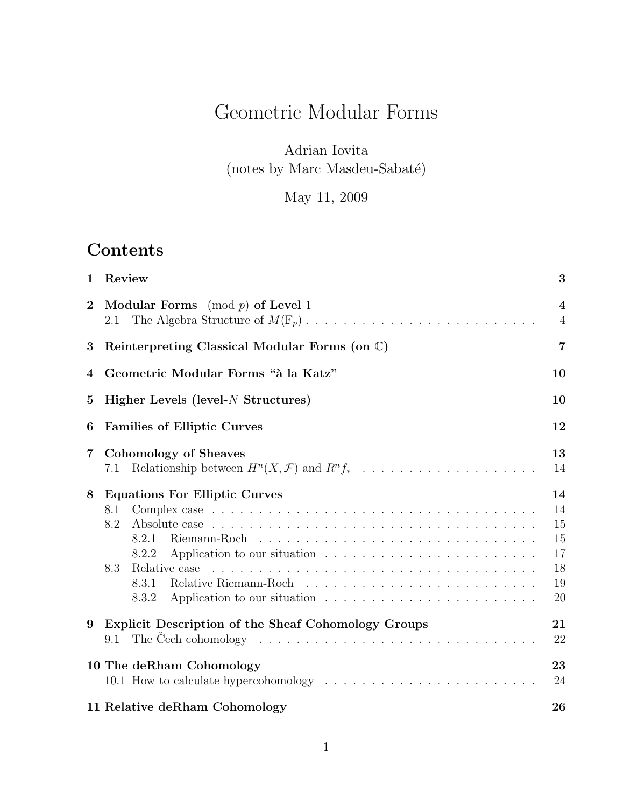# Geometric Modular Forms

# Adrian Iovita (notes by Marc Masdeu-Sabaté)

May 11, 2009

# Contents

| $\mathbf 1$             | Review                                                                                                                                                    | 3                                            |
|-------------------------|-----------------------------------------------------------------------------------------------------------------------------------------------------------|----------------------------------------------|
| $\overline{2}$          | <b>Modular Forms</b> (mod $p$ ) of Level 1<br>2.1                                                                                                         | $\overline{\mathbf{4}}$<br>$\overline{4}$    |
| 3                       | Reinterpreting Classical Modular Forms (on C)                                                                                                             | $\overline{7}$                               |
| 4                       | Geometric Modular Forms "à la Katz"                                                                                                                       | 10                                           |
| $\mathbf{5}$            | Higher Levels (level- $N$ Structures)                                                                                                                     | 10                                           |
| 6                       | <b>Families of Elliptic Curves</b>                                                                                                                        | 12                                           |
| $\overline{\mathbf{7}}$ | Cohomology of Sheaves<br>Relationship between $H^n(X, \mathcal{F})$ and $R^n f_* \dots \dots \dots \dots \dots \dots \dots \dots$<br>7.1                  | 13<br>14                                     |
| 8                       | <b>Equations For Elliptic Curves</b><br>8.1<br>8.2<br>8.2.1<br>8.2.2<br>8.3<br>Relative case<br>8.3.1<br>8.3.2                                            | 14<br>14<br>15<br>15<br>17<br>18<br>19<br>20 |
| 9                       | Explicit Description of the Sheaf Cohomology Groups<br>The Čech cohomology $\ldots \ldots \ldots \ldots \ldots \ldots \ldots \ldots \ldots \ldots$<br>9.1 | 21<br>22                                     |
|                         | 10 The deRham Cohomology                                                                                                                                  | 23<br>24                                     |
|                         | 11 Relative deRham Cohomology                                                                                                                             | 26                                           |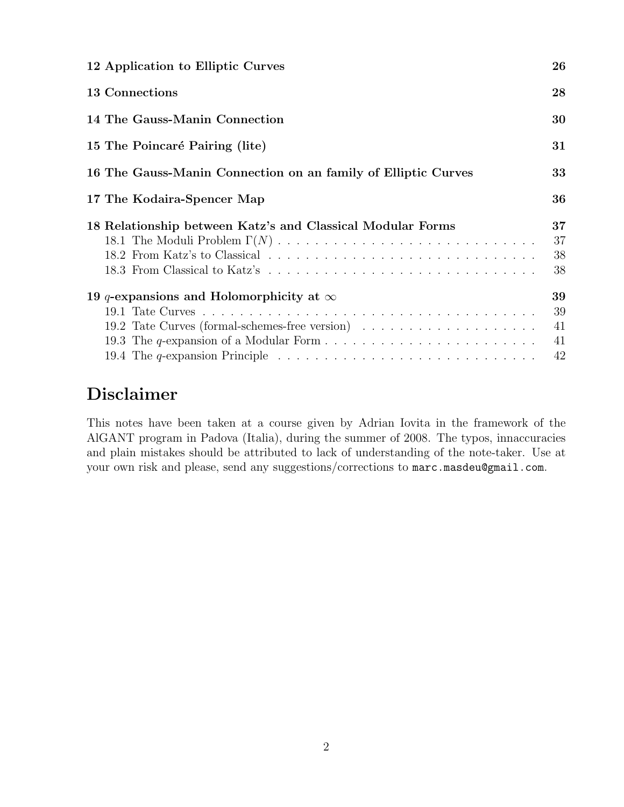| 12 Application to Elliptic Curves                                                                                                                        | 26                   |
|----------------------------------------------------------------------------------------------------------------------------------------------------------|----------------------|
| 13 Connections                                                                                                                                           | 28                   |
| 14 The Gauss-Manin Connection                                                                                                                            | 30                   |
| 15 The Poincaré Pairing (lite)                                                                                                                           | 31                   |
| 16 The Gauss-Manin Connection on an family of Elliptic Curves                                                                                            | 33                   |
| 17 The Kodaira-Spencer Map                                                                                                                               | 36                   |
| 18 Relationship between Katz's and Classical Modular Forms                                                                                               | 37<br>37             |
|                                                                                                                                                          | 38<br>38             |
| 19 q-expansions and Holomorphicity at $\infty$<br>19.4 The q-expansion Principle $\ldots \ldots \ldots \ldots \ldots \ldots \ldots \ldots \ldots \ldots$ | 39<br>39<br>41<br>41 |

# Disclaimer

This notes have been taken at a course given by Adrian Iovita in the framework of the AlGANT program in Padova (Italia), during the summer of 2008. The typos, innaccuracies and plain mistakes should be attributed to lack of understanding of the note-taker. Use at your own risk and please, send any suggestions/corrections to marc.masdeu@gmail.com.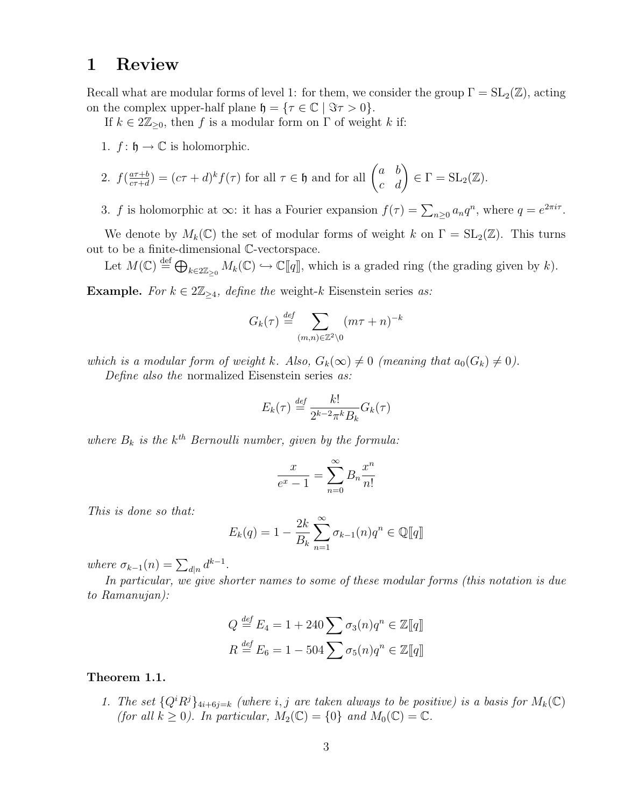# 1 Review

Recall what are modular forms of level 1: for them, we consider the group  $\Gamma = SL_2(\mathbb{Z})$ , acting on the complex upper-half plane  $\mathfrak{h} = {\tau \in \mathbb{C} \mid \Im \tau > 0}.$ 

If  $k \in 2\mathbb{Z}_{\geq 0}$ , then f is a modular form on  $\Gamma$  of weight k if:

1.  $f: \mathfrak{h} \to \mathbb{C}$  is holomorphic.

2. 
$$
f(\frac{a\tau+b}{c\tau+d}) = (c\tau+d)^k f(\tau)
$$
 for all  $\tau \in \mathfrak{h}$  and for all  $\begin{pmatrix} a & b \\ c & d \end{pmatrix} \in \Gamma = \mathrm{SL}_2(\mathbb{Z})$ .

3. f is holomorphic at  $\infty$ : it has a Fourier expansion  $f(\tau) = \sum_{n\geq 0} a_n q^n$ , where  $q = e^{2\pi i \tau}$ .

We denote by  $M_k(\mathbb{C})$  the set of modular forms of weight k on  $\Gamma = SL_2(\mathbb{Z})$ . This turns out to be a finite-dimensional C-vectorspace.

Let  $M(\mathbb{C}) \stackrel{\text{def}}{=} \bigoplus_{k \in 2\mathbb{Z}_{\geq 0}} M_k(\mathbb{C}) \hookrightarrow \mathbb{C}[[q]]$ , which is a graded ring (the grading given by k).

Example. For  $k \in 2\mathbb{Z}_{\geq 4}$ , define the weight-k Eisenstein series as:

$$
G_k(\tau) \stackrel{\text{def}}{=} \sum_{(m,n)\in \mathbb{Z}^2\backslash 0} (m\tau + n)^{-k}
$$

which is a modular form of weight k. Also,  $G_k(\infty) \neq 0$  (meaning that  $a_0(G_k) \neq 0$ ).

Define also the normalized Eisenstein series as:

$$
E_k(\tau) \stackrel{\text{def}}{=} \frac{k!}{2^{k-2}\pi^k B_k} G_k(\tau)
$$

where  $B_k$  is the  $k^{th}$  Bernoulli number, given by the formula:

$$
\frac{x}{e^x - 1} = \sum_{n=0}^{\infty} B_n \frac{x^n}{n!}
$$

This is done so that:

$$
E_k(q) = 1 - \frac{2k}{B_k} \sum_{n=1}^{\infty} \sigma_{k-1}(n) q^n \in \mathbb{Q}[\![q]\!]
$$

where  $\sigma_{k-1}(n) = \sum_{d|n} d^{k-1}$ .

In particular, we give shorter names to some of these modular forms (this notation is due to Ramanujan):

$$
Q \stackrel{\text{def}}{=} E_4 = 1 + 240 \sum \sigma_3(n) q^n \in \mathbb{Z}[\![q]\!]
$$

$$
R \stackrel{\text{def}}{=} E_6 = 1 - 504 \sum \sigma_5(n) q^n \in \mathbb{Z}[\![q]\!]
$$

#### Theorem 1.1.

1. The set  ${Q^iR^j}_{4i+6j=k}$  (where i, j are taken always to be positive) is a basis for  $M_k(\mathbb{C})$ (for all  $k \geq 0$ ). In particular,  $M_2(\mathbb{C}) = \{0\}$  and  $M_0(\mathbb{C}) = \mathbb{C}$ .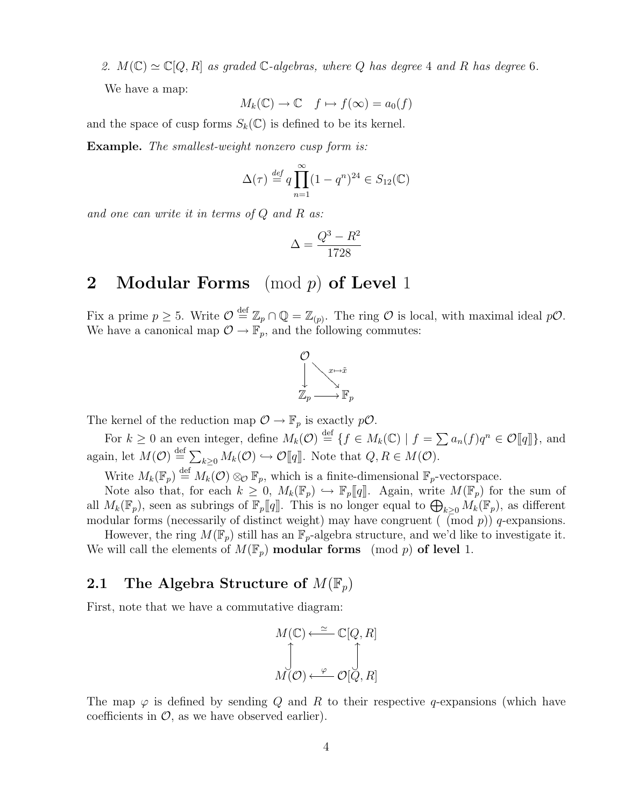2.  $M(\mathbb{C}) \simeq \mathbb{C}[Q, R]$  as graded  $\mathbb{C}$ -algebras, where Q has degree 4 and R has degree 6.

We have a map:

$$
M_k(\mathbb{C}) \to \mathbb{C} \quad f \mapsto f(\infty) = a_0(f)
$$

and the space of cusp forms  $S_k(\mathbb{C})$  is defined to be its kernel.

**Example.** The smallest-weight nonzero cusp form is:

$$
\Delta(\tau) \stackrel{\text{def}}{=} q \prod_{n=1}^{\infty} (1 - q^n)^{24} \in S_{12}(\mathbb{C})
$$

and one can write it in terms of  $Q$  and  $R$  as:

$$
\Delta = \frac{Q^3 - R^2}{1728}
$$

# 2 Modular Forms  $p \mod p$  of Level 1

Fix a prime  $p \geq 5$ . Write  $\mathcal{O} \stackrel{\text{def}}{=} \mathbb{Z}_p \cap \mathbb{Q} = \mathbb{Z}_{(p)}$ . The ring  $\mathcal O$  is local, with maximal ideal  $p\mathcal{O}$ . We have a canonical map  $\mathcal{O} \to \mathbb{F}_p$ , and the following commutes:



The kernel of the reduction map  $\mathcal{O} \to \mathbb{F}_p$  is exactly  $p\mathcal{O}$ .

For  $k \geq 0$  an even integer, define  $M_k(\mathcal{O}) \stackrel{\text{def}}{=} \{f \in M_k(\mathbb{C}) \mid f = \sum a_n(f)q^n \in \mathcal{O}[[q]]\}$ , and again, let  $M(\mathcal{O}) \stackrel{\text{def}}{=} \sum_{k\geq 0} M_k(\mathcal{O}) \hookrightarrow \mathcal{O}[[q]]$ . Note that  $Q, R \in M(\mathcal{O})$ .

Write  $M_k(\mathbb{F}_p) \stackrel{\text{def}}{=} M_k(\mathcal{O}) \otimes_{\mathcal{O}} \mathbb{F}_p$ , which is a finite-dimensional  $\mathbb{F}_p$ -vectorspace.

Note also that, for each  $k \geq 0$ ,  $M_k(\mathbb{F}_p) \hookrightarrow \mathbb{F}_p[[q]]$ . Again, write  $M(\mathbb{F}_p)$  for the sum of all  $M_k(\mathbb{F}_p)$ , seen as subrings of  $\mathbb{F}_p[[q]]$ . This is no longer equal to  $\bigoplus_{k\geq 0} M_k(\mathbb{F}_p)$ , as different modular forms (necessarily of distinct weight) may have congruent ( (mod  $p$ )) q-expansions.

However, the ring  $M(\mathbb{F}_p)$  still has an  $\mathbb{F}_p$ -algebra structure, and we'd like to investigate it. We will call the elements of  $M(\mathbb{F}_p)$  modular forms (mod p) of level 1.

#### 2.1 The Algebra Structure of  $M(\mathbb{F}_p)$

First, note that we have a commutative diagram:

$$
M(\mathbb{C}) \xleftarrow{\simeq} \mathbb{C}[Q, R]
$$

$$
\int\limits_{M(\mathcal{O})} \underbrace{\int}_{\mathcal{O}} \underbrace{\int}_{\mathcal{O}[Q, R]}
$$

The map  $\varphi$  is defined by sending Q and R to their respective q-expansions (which have coefficients in  $\mathcal{O}$ , as we have observed earlier).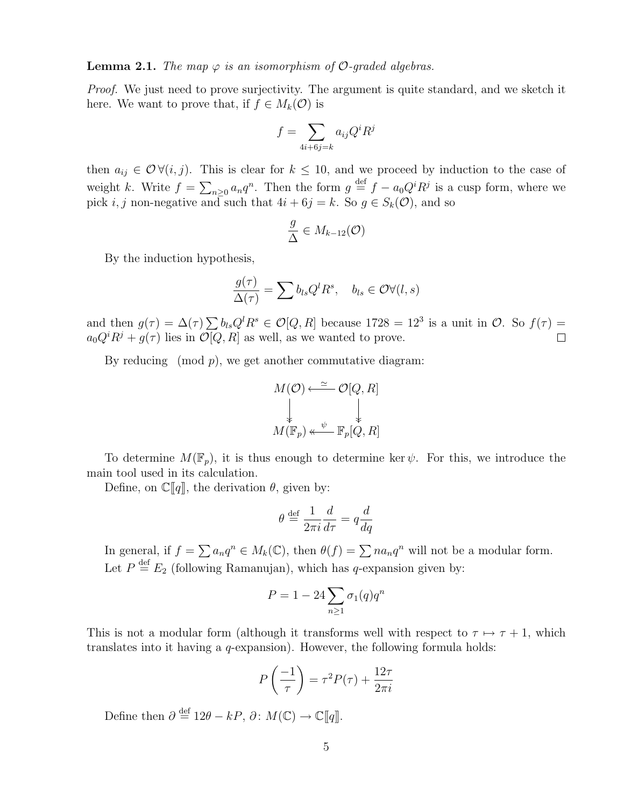**Lemma 2.1.** The map  $\varphi$  is an isomorphism of  $\mathcal{O}$ -graded algebras.

Proof. We just need to prove surjectivity. The argument is quite standard, and we sketch it here. We want to prove that, if  $f \in M_k(\mathcal{O})$  is

$$
f = \sum_{4i+6j=k} a_{ij} Q^i R^j
$$

then  $a_{ij} \in \mathcal{O} \forall (i, j)$ . This is clear for  $k \leq 10$ , and we proceed by induction to the case of weight k. Write  $f = \sum_{n\geq 0} a_n q^n$ . Then the form  $g \stackrel{\text{def}}{=} f - a_0 Q^i R^j$  is a cusp form, where we pick i, j non-negative and such that  $4i + 6j = k$ . So  $g \in S_k(\mathcal{O})$ , and so

$$
\frac{g}{\Delta} \in M_{k-12}(\mathcal{O})
$$

By the induction hypothesis,

$$
\frac{g(\tau)}{\Delta(\tau)} = \sum b_{ls} Q^l R^s, \quad b_{ls} \in \mathcal{O} \forall (l, s)
$$

and then  $g(\tau) = \Delta(\tau) \sum b_{ls} Q^l R^s \in \mathcal{O}[Q, R]$  because 1728 = 12<sup>3</sup> is a unit in  $\mathcal{O}$ . So  $f(\tau)$  =  $a_0Q^iR^j + g(\tau)$  lies in  $\mathcal{O}[Q, R]$  as well, as we wanted to prove.  $\Box$ 

By reducing (mod  $p$ ), we get another commutative diagram:

$$
M(\mathcal{O}) \xleftarrow{\simeq} \mathcal{O}[Q, R]
$$
  
\$\downarrow\$  

$$
M(\mathbb{F}_p) \xleftarrow{\psi} \mathbb{F}_p[Q, R]
$$

To determine  $M(\mathbb{F}_p)$ , it is thus enough to determine ker  $\psi$ . For this, we introduce the main tool used in its calculation.

Define, on  $\mathbb{C}[q]$ , the derivation  $\theta$ , given by:

$$
\theta \stackrel{\text{def}}{=} \frac{1}{2\pi i} \frac{d}{d\tau} = q \frac{d}{dq}
$$

In general, if  $f = \sum a_n q^n \in M_k(\mathbb{C})$ , then  $\theta(f) = \sum na_n q^n$  will not be a modular form. Let  $P \stackrel{\text{def}}{=} E_2$  (following Ramanujan), which has q-expansion given by:

$$
P = 1 - 24 \sum_{n \ge 1} \sigma_1(q) q^n
$$

This is not a modular form (although it transforms well with respect to  $\tau \mapsto \tau + 1$ , which translates into it having a q-expansion). However, the following formula holds:

$$
P\left(\frac{-1}{\tau}\right) = \tau^2 P(\tau) + \frac{12\tau}{2\pi i}
$$

Define then  $\partial \stackrel{\text{def}}{=} 12\theta - kP$ ,  $\partial \colon M(\mathbb{C}) \to \mathbb{C}[[q]]$ .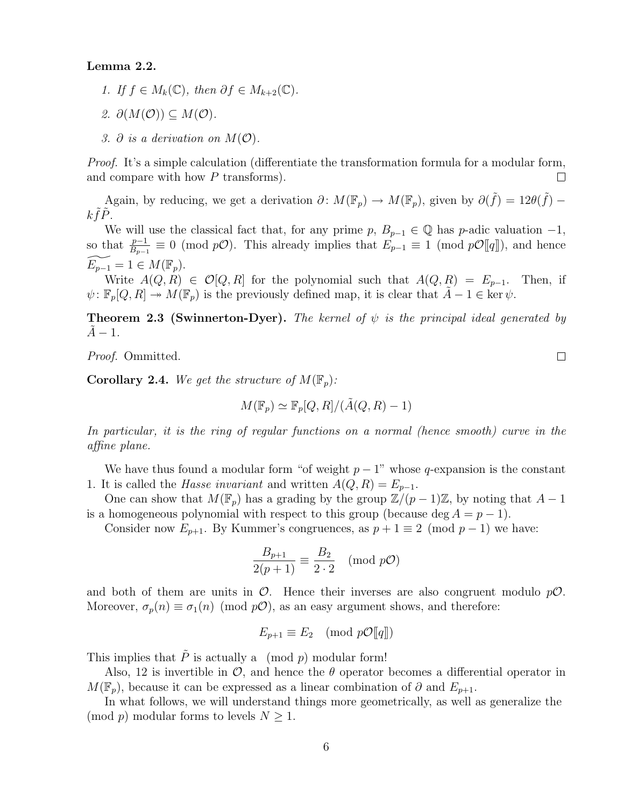#### Lemma 2.2.

- 1. If  $f \in M_k(\mathbb{C})$ , then  $\partial f \in M_{k+2}(\mathbb{C})$ .
- 2.  $\partial(M(\mathcal{O})) \subseteq M(\mathcal{O}).$
- 3.  $\partial$  is a derivation on  $M(\mathcal{O})$ .

*Proof.* It's a simple calculation (differentiate the transformation formula for a modular form, and compare with how P transforms).  $\Box$ 

Again, by reducing, we get a derivation  $\partial \colon M(\mathbb{F}_p) \to M(\mathbb{F}_p)$ , given by  $\partial(\tilde{f}) = 12\theta(\tilde{f}) - 12\theta(\tilde{f})$  $k\tilde{f}\tilde{P}.$ 

We will use the classical fact that, for any prime p,  $B_{p-1} \in \mathbb{Q}$  has p-adic valuation  $-1$ , so that  $\frac{p-1}{B_{p-1}} \equiv 0 \pmod{p\mathcal{O}}$ . This already implies that  $E_{p-1} \equiv 1 \pmod{p\mathcal{O}[[q]]}$ , and hence  $E_{p-1} = 1 \in M(\mathbb{F}_p).$ 

Write  $A(Q, R) \in \mathcal{O}[Q, R]$  for the polynomial such that  $A(Q, R) = E_{p-1}$ . Then, if  $\psi: \mathbb{F}_p[Q, R] \to M(\mathbb{F}_p)$  is the previously defined map, it is clear that  $A - 1 \in \text{ker }\psi$ .

**Theorem 2.3 (Swinnerton-Dyer).** The kernel of  $\psi$  is the principal ideal generated by  $A - 1$ .

Proof. Ommitted.

**Corollary 2.4.** We get the structure of  $M(\mathbb{F}_p)$ :

$$
M(\mathbb{F}_p) \simeq \mathbb{F}_p[Q,R]/(\tilde{A}(Q,R) - 1)
$$

In particular, it is the ring of regular functions on a normal (hence smooth) curve in the affine plane.

We have thus found a modular form "of weight  $p-1$ " whose q-expansion is the constant 1. It is called the *Hasse invariant* and written  $A(Q, R) = E_{p-1}$ .

One can show that  $M(\mathbb{F}_p)$  has a grading by the group  $\mathbb{Z}/(p-1)\mathbb{Z}$ , by noting that  $A-1$ is a homogeneous polynomial with respect to this group (because deg  $A = p - 1$ ).

Consider now  $E_{p+1}$ . By Kummer's congruences, as  $p+1 \equiv 2 \pmod{p-1}$  we have:

$$
\frac{B_{p+1}}{2(p+1)} \equiv \frac{B_2}{2 \cdot 2} \pmod{p\mathcal{O}}
$$

and both of them are units in  $\mathcal{O}$ . Hence their inverses are also congruent modulo  $p\mathcal{O}$ . Moreover,  $\sigma_p(n) \equiv \sigma_1(n) \pmod{p\mathcal{O}}$ , as an easy argument shows, and therefore:

$$
E_{p+1} \equiv E_2 \pmod{p\mathcal{O}[\![q]\!]}
$$

This implies that  $\tilde{P}$  is actually a (mod p) modular form!

Also, 12 is invertible in  $\mathcal{O}$ , and hence the  $\theta$  operator becomes a differential operator in  $M(\mathbb{F}_p)$ , because it can be expressed as a linear combination of  $\partial$  and  $E_{p+1}$ .

In what follows, we will understand things more geometrically, as well as generalize the (mod p) modular forms to levels  $N \geq 1$ .

 $\Box$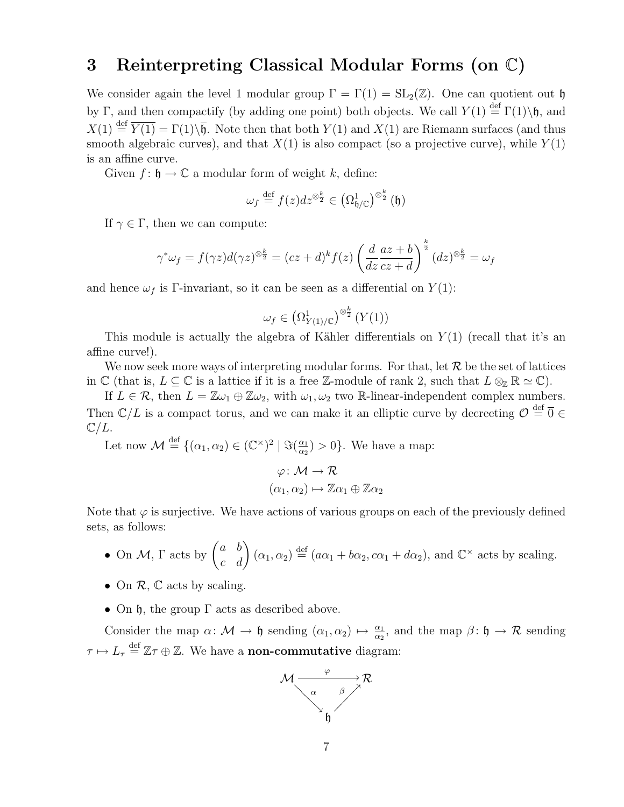### 3 Reinterpreting Classical Modular Forms (on C)

We consider again the level 1 modular group  $\Gamma = \Gamma(1) = SL_2(\mathbb{Z})$ . One can quotient out h by Γ, and then compactify (by adding one point) both objects. We call  $Y(1) \stackrel{\text{def}}{=} \Gamma(1)\backslash \mathfrak{h}$ , and  $X(1) \stackrel{\text{def}}{=} \overline{Y(1)} = \Gamma(1) \setminus \overline{\mathfrak{h}}$ . Note then that both  $Y(1)$  and  $X(1)$  are Riemann surfaces (and thus smooth algebraic curves), and that  $X(1)$  is also compact (so a projective curve), while  $Y(1)$ is an affine curve.

Given  $f: \mathfrak{h} \to \mathbb{C}$  a modular form of weight k, define:

$$
\omega_f \stackrel{\text{def}}{=} f(z)dz^{\otimes \frac{k}{2}} \in \left(\Omega_{\mathfrak{h} / \mathbb{C}}^1\right)^{\otimes \frac{k}{2}}(\mathfrak{h})
$$

If  $\gamma \in \Gamma$ , then we can compute:

$$
\gamma^* \omega_f = f(\gamma z) d(\gamma z)^{\otimes \frac{k}{2}} = (cz+d)^k f(z) \left(\frac{d}{dz} \frac{az+b}{cz+d}\right)^{\frac{k}{2}} (dz)^{\otimes \frac{k}{2}} = \omega_f
$$

and hence  $\omega_f$  is Γ-invariant, so it can be seen as a differential on  $Y(1)$ :

$$
\omega_f \in \left(\Omega^1_{Y(1)/\mathbb{C}}\right)^{\otimes \frac{k}{2}} (Y(1))
$$

This module is actually the algebra of Kähler differentials on  $Y(1)$  (recall that it's an affine curve!).

We now seek more ways of interpreting modular forms. For that, let  $\mathcal R$  be the set of lattices in  $\mathbb C$  (that is,  $L \subseteq \mathbb C$  is a lattice if it is a free Z-module of rank 2, such that  $L \otimes_{\mathbb Z} \mathbb R \simeq \mathbb C$ ).

If  $L \in \mathcal{R}$ , then  $L = \mathbb{Z}\omega_1 \oplus \mathbb{Z}\omega_2$ , with  $\omega_1, \omega_2$  two R-linear-independent complex numbers. Then  $\mathbb{C}/L$  is a compact torus, and we can make it an elliptic curve by decreeting  $\mathcal{O} \stackrel{\text{def}}{=} \overline{0} \in$ 

 $\mathbb{C}/L$ .

Let now  $\mathcal{M} \stackrel{\text{def}}{=} \{(\alpha_1, \alpha_2) \in (\mathbb{C}^\times)^2 \mid \Im(\frac{\alpha_1}{\alpha_2})\}$  $\frac{\alpha_1}{\alpha_2}$  > 0. We have a map:

$$
\varphi \colon \mathcal{M} \to \mathcal{R}
$$

$$
(\alpha_1, \alpha_2) \mapsto \mathbb{Z}\alpha_1 \oplus \mathbb{Z}\alpha_2
$$

Note that  $\varphi$  is surjective. We have actions of various groups on each of the previously defined sets, as follows:

- On M,  $\Gamma$  acts by  $\begin{pmatrix} a & b \\ c & d \end{pmatrix}$   $(\alpha_1, \alpha_2) \stackrel{\text{def}}{=} (a\alpha_1 + b\alpha_2, c\alpha_1 + d\alpha_2)$ , and  $\mathbb{C}^{\times}$  acts by scaling.
- On  $\mathcal{R}$ ,  $\mathbb C$  acts by scaling.
- On  $\mathfrak h$ , the group  $\Gamma$  acts as described above.

Consider the map  $\alpha \colon \mathcal{M} \to \mathfrak{h}$  sending  $(\alpha_1, \alpha_2) \mapsto \frac{\alpha_1}{\alpha_2}$ , and the map  $\beta \colon \mathfrak{h} \to \mathcal{R}$  sending  $\tau \mapsto L_{\tau} \stackrel{\text{def}}{=} \mathbb{Z}\tau \oplus \mathbb{Z}$ . We have a **non-commutative** diagram:

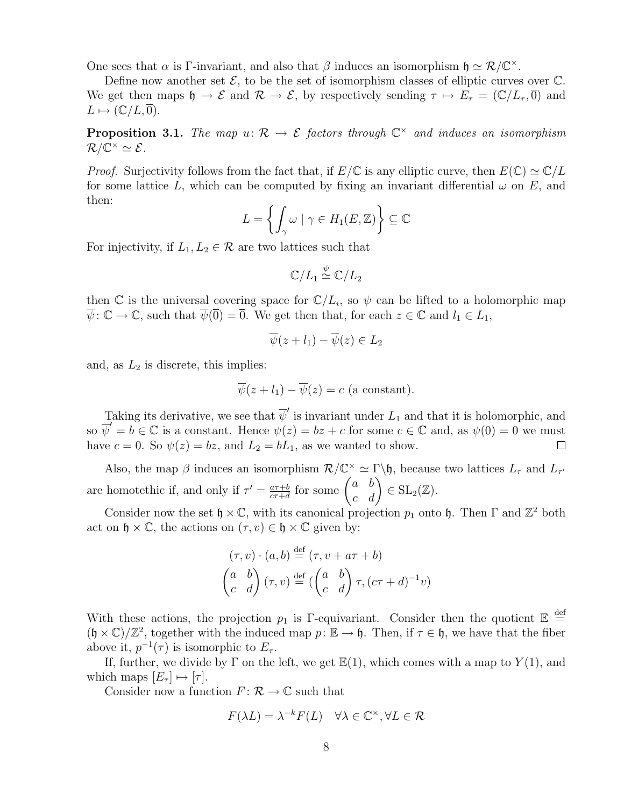One sees that  $\alpha$  is Γ-invariant, and also that  $\beta$  induces an isomorphism  $\mathfrak{h} \simeq \mathcal{R}/\mathbb{C}^{\times}$ .

Define now another set  $\mathcal{E}$ , to be the set of isomorphism classes of elliptic curves over  $\mathbb{C}$ . We get then maps  $\mathfrak{h} \to \mathcal{E}$  and  $\mathcal{R} \to \mathcal{E}$ , by respectively sending  $\tau \mapsto E_{\tau} = (\mathbb{C}/L_{\tau}, \overline{0})$  and  $L \mapsto (\mathbb{C}/L, \overline{0}).$ 

**Proposition 3.1.** The map  $u: \mathcal{R} \to \mathcal{E}$  factors through  $\mathbb{C}^{\times}$  and induces an isomorphism  $\mathcal{R}/\overline{\mathbb{C}}^\times \simeq \mathcal{E}.$ 

*Proof.* Surjectivity follows from the fact that, if  $E/\mathbb{C}$  is any elliptic curve, then  $E(\mathbb{C}) \simeq \mathbb{C}/L$ for some lattice L, which can be computed by fixing an invariant differential  $\omega$  on E, and then:

$$
L = \left\{ \int_{\gamma} \omega \mid \gamma \in H_1(E, \mathbb{Z}) \right\} \subseteq \mathbb{C}
$$

For injectivity, if  $L_1, L_2 \in \mathcal{R}$  are two lattices such that

$$
\mathbb{C}/L_1\overset{\psi}{\simeq}\mathbb{C}/L_2
$$

then  $\mathbb C$  is the universal covering space for  $\mathbb C/L_i$ , so  $\psi$  can be lifted to a holomorphic map  $\psi: \mathbb{C} \to \mathbb{C}$ , such that  $\psi(\overline{0}) = \overline{0}$ . We get then that, for each  $z \in \mathbb{C}$  and  $l_1 \in L_1$ ,

$$
\overline{\psi}(z+l_1)-\overline{\psi}(z)\in L_2
$$

and, as  $L_2$  is discrete, this implies:

$$
\overline{\psi}(z + l_1) - \overline{\psi}(z) = c
$$
 (a constant).

Taking its derivative, we see that  $\overline{\psi}'$  is invariant under  $L_1$  and that it is holomorphic, and so  $\overline{\psi}' = b \in \mathbb{C}$  is a constant. Hence  $\psi(z) = bz + c$  for some  $c \in \mathbb{C}$  and, as  $\psi(0) = 0$  we must have  $c = 0$ . So  $\psi(z) = bz$ , and  $L_2 = bL_1$ , as we wanted to show.  $\Box$ 

Also, the map  $\beta$  induces an isomorphism  $\mathcal{R}/\mathbb{C}^{\times} \simeq \Gamma \backslash \mathfrak{h}$ , because two lattices  $L_{\tau}$  and  $L_{\tau'}$ are homotethic if, and only if  $\tau' = \frac{a\tau+b}{c\tau+d}$  $\frac{a\tau+b}{c\tau+d}$  for some  $\begin{pmatrix} a & b \\ c & d \end{pmatrix} \in SL_2(\mathbb{Z}).$ 

Consider now the set  $\mathfrak{h} \times \mathbb{C}$ , with its canonical projection  $p_1$  onto  $\mathfrak{h}$ . Then  $\Gamma$  and  $\mathbb{Z}^2$  both act on  $\mathfrak{h} \times \mathbb{C}$ , the actions on  $(\tau, v) \in \mathfrak{h} \times \mathbb{C}$  given by:

$$
(\tau, v) \cdot (a, b) \stackrel{\text{def}}{=} (\tau, v + a\tau + b)
$$

$$
\begin{pmatrix} a & b \\ c & d \end{pmatrix} (\tau, v) \stackrel{\text{def}}{=} (\begin{pmatrix} a & b \\ c & d \end{pmatrix} \tau, (c\tau + d)^{-1}v)
$$

With these actions, the projection  $p_1$  is Γ-equivariant. Consider then the quotient  $\mathbb{E} \stackrel{\text{def}}{=}$  $(\mathfrak{h} \times \mathbb{C})/\mathbb{Z}^2$ , together with the induced map  $p: \mathbb{E} \to \mathfrak{h}$ . Then, if  $\tau \in \mathfrak{h}$ , we have that the fiber above it,  $p^{-1}(\tau)$  is isomorphic to  $E_{\tau}$ .

If, further, we divide by  $\Gamma$  on the left, we get  $\mathbb{E}(1)$ , which comes with a map to  $Y(1)$ , and which maps  $[E_\tau] \mapsto [\tau]$ .

Consider now a function  $F: \mathcal{R} \to \mathbb{C}$  such that

$$
F(\lambda L) = \lambda^{-k} F(L) \quad \forall \lambda \in \mathbb{C}^{\times}, \forall L \in \mathcal{R}
$$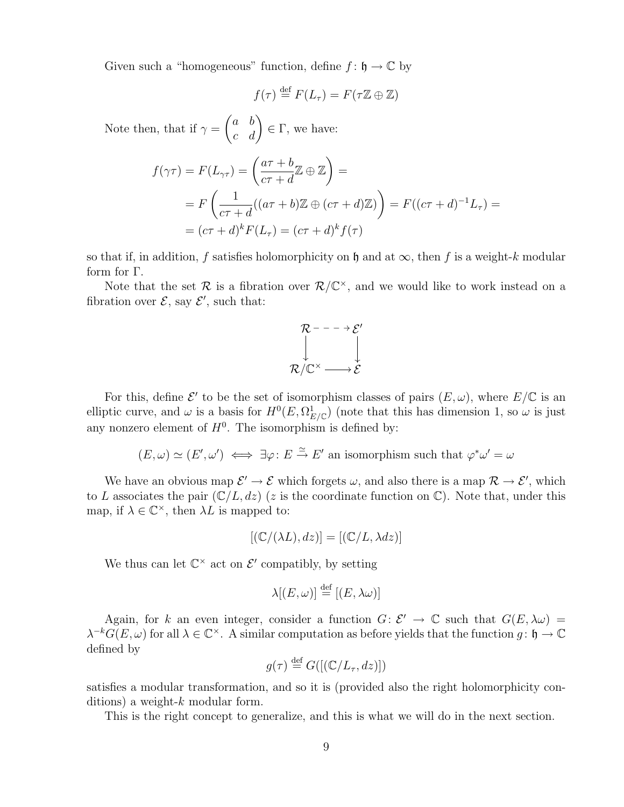Given such a "homogeneous" function, define  $f: \mathfrak{h} \to \mathbb{C}$  by

$$
f(\tau) \stackrel{\text{def}}{=} F(L_{\tau}) = F(\tau \mathbb{Z} \oplus \mathbb{Z})
$$

Note then, that if  $\gamma =$  $\begin{pmatrix} a & b \\ c & d \end{pmatrix} \in \Gamma$ , we have:

$$
f(\gamma \tau) = F(L_{\gamma \tau}) = \left(\frac{a\tau + b}{c\tau + d}\mathbb{Z} \oplus \mathbb{Z}\right) =
$$
  
=  $F\left(\frac{1}{c\tau + d}((a\tau + b)\mathbb{Z} \oplus (c\tau + d)\mathbb{Z})\right) = F((c\tau + d)^{-1}L_{\tau}) =$   
=  $(c\tau + d)^{k}F(L_{\tau}) = (c\tau + d)^{k}f(\tau)$ 

so that if, in addition, f satisfies holomorphicity on h and at  $\infty$ , then f is a weight-k modular form for Γ.

Note that the set R is a fibration over  $\mathcal{R}/\mathbb{C}^{\times}$ , and we would like to work instead on a fibration over  $\mathcal{E}$ , say  $\mathcal{E}'$ , such that:



For this, define  $\mathcal{E}'$  to be the set of isomorphism classes of pairs  $(E, \omega)$ , where  $E/\mathbb{C}$  is an elliptic curve, and  $\omega$  is a basis for  $H^0(E, \Omega^1_{E/\mathbb{C}})$  (note that this has dimension 1, so  $\omega$  is just any nonzero element of  $H^0$ . The isomorphism is defined by:

$$
(E, \omega) \simeq (E', \omega') \iff \exists \varphi \colon E \stackrel{\simeq}{\to} E'
$$
 an isomorphism such that  $\varphi^* \omega' = \omega$ 

We have an obvious map  $\mathcal{E}' \to \mathcal{E}$  which forgets  $\omega$ , and also there is a map  $\mathcal{R} \to \mathcal{E}'$ , which to L associates the pair  $(\mathbb{C}/L, dz)$  (z is the coordinate function on  $\mathbb{C}$ ). Note that, under this map, if  $\lambda \in \mathbb{C}^{\times}$ , then  $\lambda L$  is mapped to:

$$
[(\mathbb{C}/(\lambda L), dz)] = [(\mathbb{C}/L, \lambda dz)]
$$

We thus can let  $\mathbb{C}^{\times}$  act on  $\mathcal{E}'$  compatibly, by setting

$$
\lambda[(E,\omega)] \stackrel{\text{def}}{=} [(E,\lambda\omega)]
$$

Again, for k an even integer, consider a function  $G: \mathcal{E}' \to \mathbb{C}$  such that  $G(E, \lambda \omega) =$  $\lambda^{-k}G(E,\omega)$  for all  $\lambda \in \mathbb{C}^{\times}$ . A similar computation as before yields that the function  $g: \mathfrak{h} \to \mathbb{C}$ defined by

$$
g(\tau) \stackrel{\text{def}}{=} G([(\mathbb{C}/L_{\tau}, dz)])
$$

satisfies a modular transformation, and so it is (provided also the right holomorphicity conditions) a weight- $k$  modular form.

This is the right concept to generalize, and this is what we will do in the next section.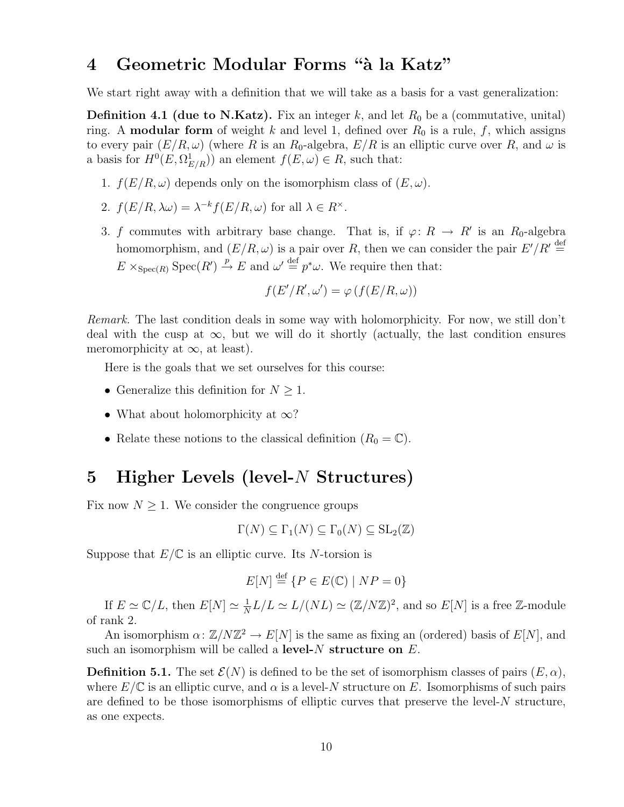# 4 Geometric Modular Forms "à la Katz"

We start right away with a definition that we will take as a basis for a vast generalization:

**Definition 4.1 (due to N.Katz).** Fix an integer k, and let  $R_0$  be a (commutative, unital) ring. A **modular form** of weight k and level 1, defined over  $R_0$  is a rule, f, which assigns to every pair  $(E/R, \omega)$  (where R is an R<sub>0</sub>-algebra,  $E/R$  is an elliptic curve over R, and  $\omega$  is a basis for  $H^0(E, \Omega^1_{E/R})$  an element  $f(E, \omega) \in R$ , such that:

- 1.  $f(E/R, \omega)$  depends only on the isomorphism class of  $(E, \omega)$ .
- 2.  $f(E/R, \lambda \omega) = \lambda^{-k} f(E/R, \omega)$  for all  $\lambda \in R^{\times}$ .
- 3. f commutes with arbitrary base change. That is, if  $\varphi: R \to R'$  is an  $R_0$ -algebra homomorphism, and  $(E/R, \omega)$  is a pair over R, then we can consider the pair  $E'/R' \stackrel{\text{def}}{=}$  $E \times_{\text{Spec}(R)} \text{Spec}(R') \stackrel{p}{\to} E$  and  $\omega' \stackrel{\text{def}}{=} p^*\omega$ . We require then that:

$$
f(E'/R', \omega') = \varphi(f(E/R, \omega))
$$

Remark. The last condition deals in some way with holomorphicity. For now, we still don't deal with the cusp at  $\infty$ , but we will do it shortly (actually, the last condition ensures meromorphicity at  $\infty$ , at least).

Here is the goals that we set ourselves for this course:

- Generalize this definition for  $N \geq 1$ .
- What about holomorphicity at  $\infty$ ?
- Relate these notions to the classical definition  $(R_0 = \mathbb{C})$ .

### 5 Higher Levels (level-N Structures)

Fix now  $N \geq 1$ . We consider the congruence groups

$$
\Gamma(N) \subseteq \Gamma_1(N) \subseteq \Gamma_0(N) \subseteq SL_2(\mathbb{Z})
$$

Suppose that  $E/\mathbb{C}$  is an elliptic curve. Its N-torsion is

$$
E[N] \stackrel{\text{def}}{=} \{ P \in E(\mathbb{C}) \mid NP = 0 \}
$$

If  $E \simeq \mathbb{C}/L$ , then  $E[N] \simeq \frac{1}{N}$  $\frac{1}{N}L/L \simeq L/(NL) \simeq (\mathbb{Z}/N\mathbb{Z})^2$ , and so  $E[N]$  is a free  $\mathbb{Z}$ -module of rank 2.

An isomorphism  $\alpha: \mathbb{Z}/N\mathbb{Z}^2 \to E[N]$  is the same as fixing an (ordered) basis of  $E[N]$ , and such an isomorphism will be called a level- $N$  structure on  $E$ .

**Definition 5.1.** The set  $\mathcal{E}(N)$  is defined to be the set of isomorphism classes of pairs  $(E, \alpha)$ , where  $E/\mathbb{C}$  is an elliptic curve, and  $\alpha$  is a level-N structure on E. Isomorphisms of such pairs are defined to be those isomorphisms of elliptic curves that preserve the level- $N$  structure, as one expects.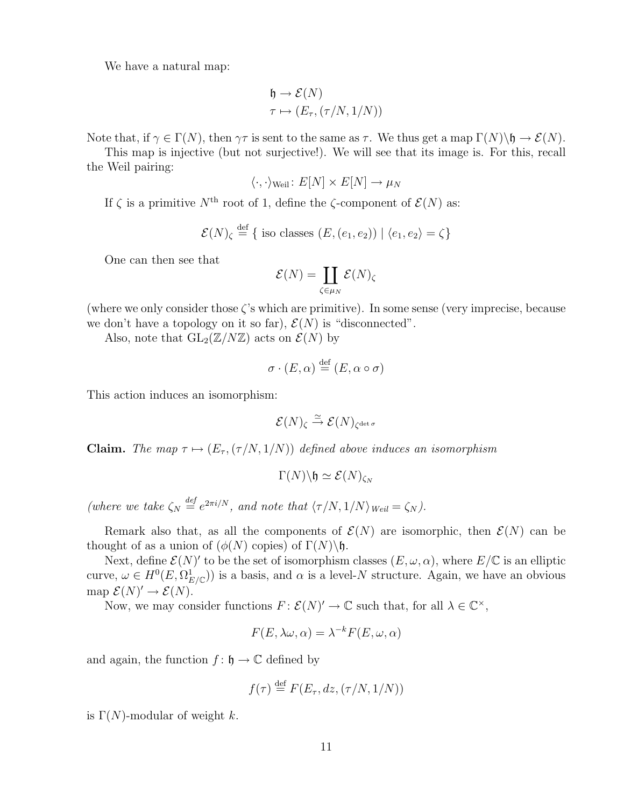We have a natural map:

$$
\begin{aligned} \mathfrak{h} &\to \mathcal{E}(N) \\ \tau &\mapsto (E_{\tau}, (\tau/N, 1/N)) \end{aligned}
$$

Note that, if  $\gamma \in \Gamma(N)$ , then  $\gamma \tau$  is sent to the same as  $\tau$ . We thus get a map  $\Gamma(N) \backslash \mathfrak{h} \to \mathcal{E}(N)$ .

This map is injective (but not surjective!). We will see that its image is. For this, recall the Weil pairing:

$$
\langle \cdot, \cdot \rangle_{\text{Weil}} \colon E[N] \times E[N] \to \mu_N
$$

If  $\zeta$  is a primitive  $N^{\text{th}}$  root of 1, define the  $\zeta$ -component of  $\mathcal{E}(N)$  as:

$$
\mathcal{E}(N)_{\zeta} \stackrel{\text{def}}{=} \{ \text{ iso classes } (E, (e_1, e_2)) \mid \langle e_1, e_2 \rangle = \zeta \}
$$

One can then see that

$$
\mathcal{E}(N) = \coprod_{\zeta \in \mu_N} \mathcal{E}(N)_{\zeta}
$$

(where we only consider those  $\zeta$ 's which are primitive). In some sense (very imprecise, because we don't have a topology on it so far),  $\mathcal{E}(N)$  is "disconnected".

Also, note that  $GL_2(\mathbb{Z}/N\mathbb{Z})$  acts on  $\mathcal{E}(N)$  by

$$
\sigma \cdot (E, \alpha) \stackrel{\text{def}}{=} (E, \alpha \circ \sigma)
$$

This action induces an isomorphism:

$$
\mathcal{E}(N)_{\zeta} \stackrel{\simeq}{\to} \mathcal{E}(N)_{\zeta^{\det \sigma}}
$$

**Claim.** The map  $\tau \mapsto (E_{\tau}, (\tau/N, 1/N))$  defined above induces an isomorphism

$$
\Gamma(N)\backslash \mathfrak{h} \simeq \mathcal{E}(N)_{\zeta_N}
$$

(where we take  $\zeta_N \stackrel{\text{def}}{=} e^{2\pi i/N}$ , and note that  $\langle \tau/N, 1/N \rangle_{\text{Weil}} = \zeta_N$ ).

Remark also that, as all the components of  $\mathcal{E}(N)$  are isomorphic, then  $\mathcal{E}(N)$  can be thought of as a union of  $(φ(N)$  copies) of  $\Gamma(N)\$ h.

Next, define  $\mathcal{E}(N)'$  to be the set of isomorphism classes  $(E, \omega, \alpha)$ , where  $E/\mathbb{C}$  is an elliptic curve,  $\omega \in H^0(E, \Omega_{E/\mathbb{C}}^1)$  is a basis, and  $\alpha$  is a level-N structure. Again, we have an obvious map  $\mathcal{E}(N)' \to \mathcal{E}(N)$ .

Now, we may consider functions  $F: \mathcal{E}(N)' \to \mathbb{C}$  such that, for all  $\lambda \in \mathbb{C}^{\times}$ ,

$$
F(E, \lambda \omega, \alpha) = \lambda^{-k} F(E, \omega, \alpha)
$$

and again, the function  $f: \mathfrak{h} \to \mathbb{C}$  defined by

$$
f(\tau) \stackrel{\text{def}}{=} F(E_{\tau}, dz, (\tau/N, 1/N))
$$

is  $\Gamma(N)$ -modular of weight k.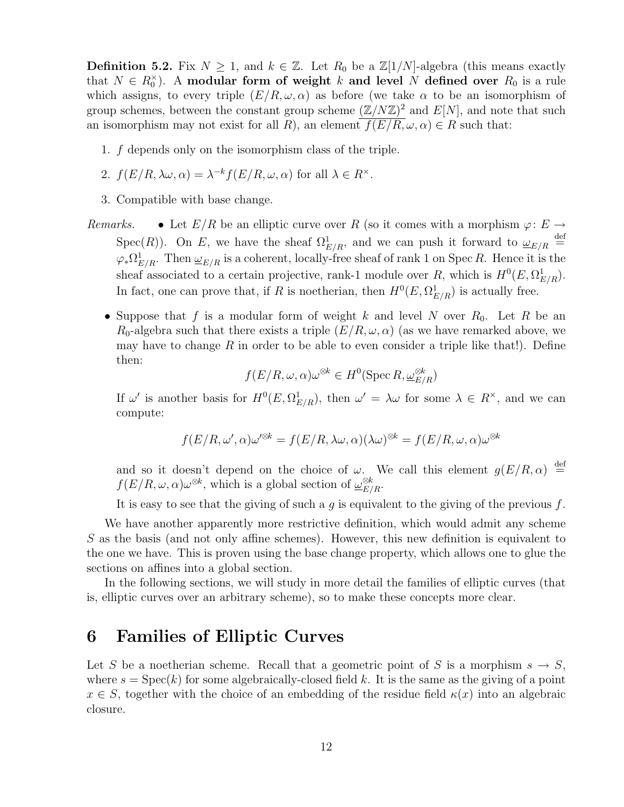**Definition 5.2.** Fix  $N \geq 1$ , and  $k \in \mathbb{Z}$ . Let  $R_0$  be a  $\mathbb{Z}[1/N]$ -algebra (this means exactly that  $N \in R_0^{\times}$ ). A modular form of weight k and level N defined over  $R_0$  is a rule which assigns, to every triple  $(E/R, \omega, \alpha)$  as before (we take  $\alpha$  to be an isomorphism of group schemes, between the constant group scheme  $(\mathbb{Z}/N\mathbb{Z})^2$  and  $E[N]$ , and note that such an isomorphism may not exist for all R), an element  $\overline{f(E/R, \omega, \alpha)} \in R$  such that:

- 1. f depends only on the isomorphism class of the triple.
- 2.  $f(E/R, \lambda \omega, \alpha) = \lambda^{-k} f(E/R, \omega, \alpha)$  for all  $\lambda \in R^{\times}$ .
- 3. Compatible with base change.
- Remarks. Let  $E/R$  be an elliptic curve over R (so it comes with a morphism  $\varphi: E \to$ Spec(R)). On E, we have the sheaf  $\Omega_{E/R}^1$ , and we can push it forward to  $\omega_{E/R} \stackrel{\text{def}}{=}$  $\varphi_* \Omega^1_{E/R}$ . Then  $\underline{\omega}_{E/R}$  is a coherent, locally-free sheaf of rank 1 on Spec R. Hence it is the sheaf associated to a certain projective, rank-1 module over R, which is  $H^0(E, \Omega^1_{E/R})$ . In fact, one can prove that, if R is noetherian, then  $H^0(E, \Omega^1_{E/R})$  is actually free.
	- Suppose that f is a modular form of weight k and level N over  $R_0$ . Let R be an  $R_0$ -algebra such that there exists a triple  $(E/R, \omega, \alpha)$  (as we have remarked above, we may have to change R in order to be able to even consider a triple like that!). Define then:

$$
f(E/R, \omega, \alpha)\omega^{\otimes k} \in H^0(\operatorname{Spec} R, \underline{\omega}_{E/R}^{\otimes k})
$$

If  $\omega'$  is another basis for  $H^0(E, \Omega^1_{E/R})$ , then  $\omega' = \lambda \omega$  for some  $\lambda \in R^{\times}$ , and we can compute:

$$
f(E/R, \omega', \alpha)\omega'^{\otimes k} = f(E/R, \lambda\omega, \alpha)(\lambda\omega)^{\otimes k} = f(E/R, \omega, \alpha)\omega^{\otimes k}
$$

and so it doesn't depend on the choice of  $\omega$ . We call this element  $g(E/R, \alpha) \stackrel{\text{def}}{=}$  $f(E/R, \omega, \alpha)\omega^{\otimes k}$ , which is a global section of  $\underline{\omega}_{E/R}^{\otimes k}$ .

It is easy to see that the giving of such a  $g$  is equivalent to the giving of the previous  $f$ .

We have another apparently more restrictive definition, which would admit any scheme  $S$  as the basis (and not only affine schemes). However, this new definition is equivalent to the one we have. This is proven using the base change property, which allows one to glue the sections on affines into a global section.

In the following sections, we will study in more detail the families of elliptic curves (that is, elliptic curves over an arbitrary scheme), so to make these concepts more clear.

### 6 Families of Elliptic Curves

Let S be a noetherian scheme. Recall that a geometric point of S is a morphism  $s \to S$ , where  $s = \text{Spec}(k)$  for some algebraically-closed field k. It is the same as the giving of a point  $x \in S$ , together with the choice of an embedding of the residue field  $\kappa(x)$  into an algebraic closure.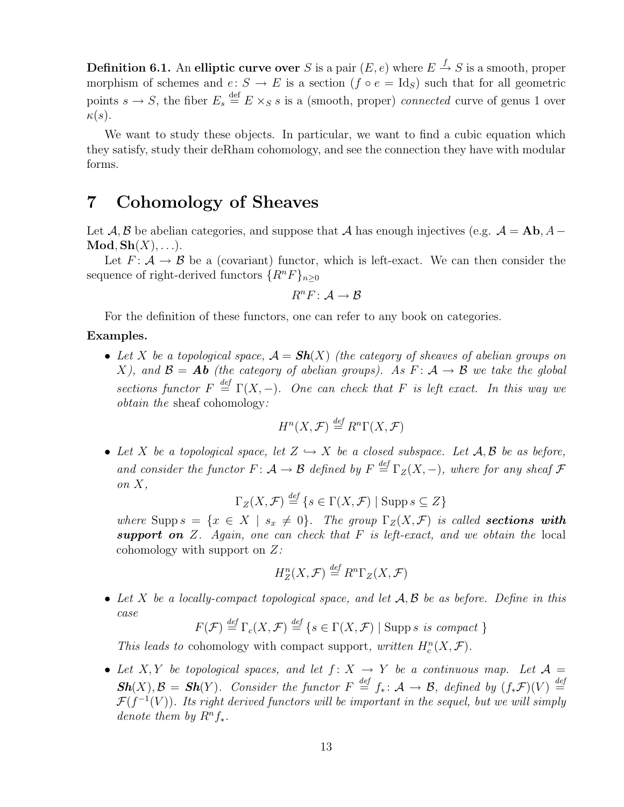**Definition 6.1.** An elliptic curve over S is a pair  $(E, e)$  where  $E \stackrel{f}{\rightarrow} S$  is a smooth, proper morphism of schemes and  $e: S \to E$  is a section  $(f \circ e = \text{Id}_S)$  such that for all geometric points  $s \to S$ , the fiber  $E_s \stackrel{\text{def}}{=} E \times_S s$  is a (smooth, proper) *connected* curve of genus 1 over  $\kappa(s)$ .

We want to study these objects. In particular, we want to find a cubic equation which they satisfy, study their deRham cohomology, and see the connection they have with modular forms.

# 7 Cohomology of Sheaves

Let  $\mathcal{A}, \mathcal{B}$  be abelian categories, and suppose that  $\mathcal{A}$  has enough injectives (e.g.  $\mathcal{A} = Ab, A \mathbf{Mod}, \mathbf{Sh}(X), \ldots$ .

Let  $F: \mathcal{A} \to \mathcal{B}$  be a (covariant) functor, which is left-exact. We can then consider the sequence of right-derived functors  $\{R^nF\}_{n\geq 0}$ 

$$
R^nF\colon \mathcal{A}\to \mathcal{B}
$$

For the definition of these functors, one can refer to any book on categories.

#### Examples.

• Let X be a topological space,  $\mathcal{A} = Sh(X)$  (the category of sheaves of abelian groups on X), and  $\mathcal{B} = Ab$  (the category of abelian groups). As  $F: \mathcal{A} \to \mathcal{B}$  we take the global sections functor  $F \stackrel{\text{def}}{=} \Gamma(X, -)$ . One can check that F is left exact. In this way we obtain the sheaf cohomology:

$$
H^n(X, \mathcal{F}) \stackrel{\text{def}}{=} R^n \Gamma(X, \mathcal{F})
$$

• Let X be a topological space, let  $Z \hookrightarrow X$  be a closed subspace. Let  $A, B$  be as before, and consider the functor  $F: \mathcal{A} \to \mathcal{B}$  defined by  $F \stackrel{\text{def}}{=} \Gamma_Z(X, -)$ , where for any sheaf  $\mathcal{F}$ on  $X$ ,  $\overline{d}$ 

$$
\Gamma_Z(X, \mathcal{F}) \stackrel{\text{def}}{=} \{ s \in \Gamma(X, \mathcal{F}) \mid \text{Supp } s \subseteq Z \}
$$

where Supp  $s = \{x \in X \mid s_x \neq 0\}$ . The group  $\Gamma_Z(X, \mathcal{F})$  is called **sections with** support on  $Z$ . Again, one can check that  $F$  is left-exact, and we obtain the local cohomology with support on  $Z$ :

$$
H_Z^n(X, \mathcal{F}) \stackrel{\text{def}}{=} R^n \Gamma_Z(X, \mathcal{F})
$$

• Let X be a locally-compact topological space, and let  $A, B$  be as before. Define in this case

$$
F(\mathcal{F}) \stackrel{\text{def}}{=} \Gamma_c(X, \mathcal{F}) \stackrel{\text{def}}{=} \{ s \in \Gamma(X, \mathcal{F}) \mid \text{Supp } s \text{ is compact } \}
$$

This leads to cohomology with compact support, written  $H_c^n(X, \mathcal{F})$ .

• Let X, Y be topological spaces, and let  $f: X \rightarrow Y$  be a continuous map. Let  $\mathcal{A} =$  $\mathbf{Sh}(X), \mathcal{B} = \mathbf{Sh}(Y)$ . Consider the functor  $F \stackrel{def}{=} f_* \colon \mathcal{A} \to \mathcal{B}$ , defined by  $(f_*\mathcal{F})(V) \stackrel{def}{=}$  $\mathcal{F}(f^{-1}(V))$ . Its right derived functors will be important in the sequel, but we will simply denote them by  $R^n f_*$ .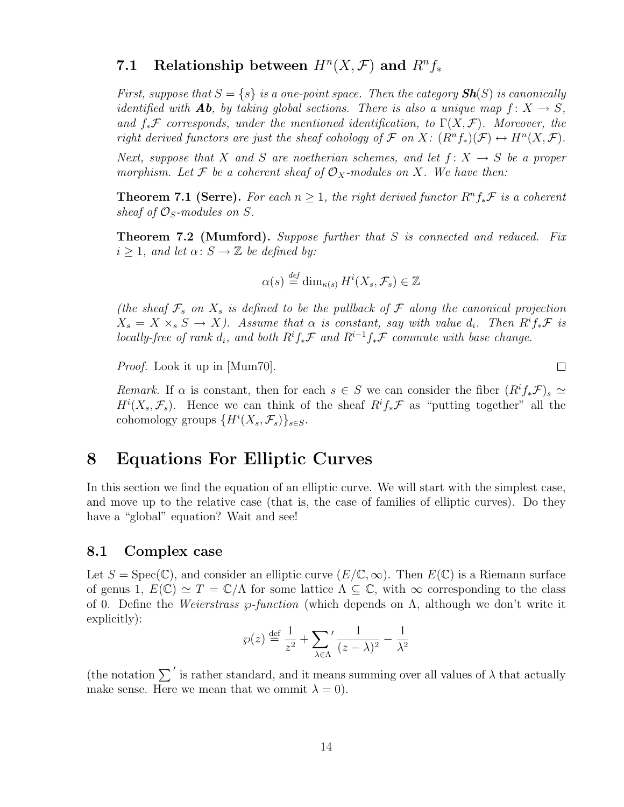# 7.1 Relationship between  $H^n(X, \mathcal{F})$  and  $R^n f_*$

First, suppose that  $S = \{s\}$  is a one-point space. Then the category  $\mathbf{Sh}(S)$  is canonically identified with **Ab**, by taking global sections. There is also a unique map  $f: X \to S$ , and  $f_*\mathcal{F}$  corresponds, under the mentioned identification, to  $\Gamma(X,\mathcal{F})$ . Moreover, the right derived functors are just the sheaf cohology of  $\mathcal F$  on  $X: (R^n f_*)(\mathcal F) \to H^n(X, \mathcal F)$ .

Next, suppose that X and S are noetherian schemes, and let  $f: X \rightarrow S$  be a proper morphism. Let F be a coherent sheaf of  $\mathcal{O}_X$ -modules on X. We have then:

**Theorem 7.1 (Serre).** For each  $n \geq 1$ , the right derived functor  $R^n f_* \mathcal{F}$  is a coherent sheaf of  $\mathcal{O}_S$ -modules on S.

Theorem 7.2 (Mumford). Suppose further that S is connected and reduced. Fix  $i \geq 1$ , and let  $\alpha: S \to \mathbb{Z}$  be defined by:

$$
\alpha(s) \stackrel{\text{def}}{=} \dim_{\kappa(s)} H^i(X_s, \mathcal{F}_s) \in \mathbb{Z}
$$

(the sheaf  $\mathcal{F}_s$  on  $X_s$  is defined to be the pullback of  $\mathcal F$  along the canonical projection  $X_s = X \times_s S \to X$ ). Assume that  $\alpha$  is constant, say with value  $d_i$ . Then  $R^i f_* \mathcal{F}$  is locally-free of rank  $d_i$ , and both  $R^if_*\mathcal{F}$  and  $R^{i-1}f_*\mathcal{F}$  commute with base change.

Proof. Look it up in [Mum70].

Remark. If  $\alpha$  is constant, then for each  $s \in S$  we can consider the fiber  $(R^if_*\mathcal{F})_s \simeq$  $H^{i}(X_{s},\mathcal{F}_{s})$ . Hence we can think of the sheaf  $R^{i}f_{*}\mathcal{F}$  as "putting together" all the cohomology groups  $\{H^i(X_s, \mathcal{F}_s)\}_{s\in S}$ .

### 8 Equations For Elliptic Curves

In this section we find the equation of an elliptic curve. We will start with the simplest case, and move up to the relative case (that is, the case of families of elliptic curves). Do they have a "global" equation? Wait and see!

#### 8.1 Complex case

Let  $S = \text{Spec}(\mathbb{C})$ , and consider an elliptic curve  $(E/\mathbb{C}, \infty)$ . Then  $E(\mathbb{C})$  is a Riemann surface of genus 1,  $E(\mathbb{C}) \simeq T = \mathbb{C}/\Lambda$  for some lattice  $\Lambda \subset \mathbb{C}$ , with  $\infty$  corresponding to the class of 0. Define the *Weierstrass*  $\wp$ *-function* (which depends on  $\Lambda$ , although we don't write it explicitly):

$$
\wp(z) \stackrel{\text{def}}{=} \frac{1}{z^2} + \sum_{\lambda \in \Lambda} \frac{1}{(z - \lambda)^2} - \frac{1}{\lambda^2}
$$

(the notation  $\sum'$  is rather standard, and it means summing over all values of  $\lambda$  that actually make sense. Here we mean that we ommit  $\lambda = 0$ .

 $\Box$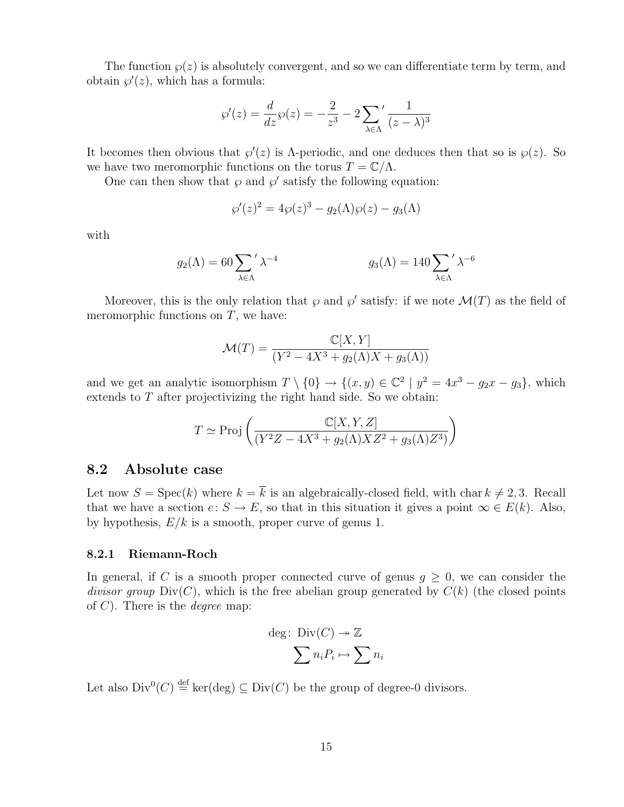The function  $\wp(z)$  is absolutely convergent, and so we can differentiate term by term, and obtain  $\wp'(z)$ , which has a formula:

$$
\wp'(z) = \frac{d}{dz}\wp(z) = -\frac{2}{z^3} - 2\sum_{\lambda \in \Lambda} \frac{1}{(z-\lambda)^3}
$$

It becomes then obvious that  $\wp'(z)$  is  $\Lambda$ -periodic, and one deduces then that so is  $\wp(z)$ . So we have two meromorphic functions on the torus  $T = \mathbb{C}/\Lambda$ .

One can then show that  $\wp$  and  $\wp'$  satisfy the following equation:

$$
\wp'(z)^2 = 4\wp(z)^3 - g_2(\Lambda)\wp(z) - g_3(\Lambda)
$$

with

$$
g_2(\Lambda) = 60 \sum_{\lambda \in \Lambda} \Lambda^{-4} \qquad g_3(\Lambda) = 140 \sum_{\lambda \in \Lambda} \Lambda^{-6}
$$

Moreover, this is the only relation that  $\wp$  and  $\wp'$  satisfy: if we note  $\mathcal{M}(T)$  as the field of meromorphic functions on  $T$ , we have:

$$
\mathcal{M}(T) = \frac{\mathbb{C}[X, Y]}{(Y^2 - 4X^3 + g_2(\Lambda)X + g_3(\Lambda))}
$$

and we get an analytic isomorphism  $T \setminus \{0\} \to \{(x, y) \in \mathbb{C}^2 \mid y^2 = 4x^3 - g_2x - g_3\}$ , which extends to  $T$  after projectivizing the right hand side. So we obtain:

$$
T \simeq \text{Proj}\left(\frac{\mathbb{C}[X, Y, Z]}{(Y^2Z - 4X^3 + g_2(\Lambda)XZ^2 + g_3(\Lambda)Z^3)}\right)
$$

#### 8.2 Absolute case

Let now  $S = \text{Spec}(k)$  where  $k = \overline{k}$  is an algebraically-closed field, with char  $k \neq 2, 3$ . Recall that we have a section  $e: S \to E$ , so that in this situation it gives a point  $\infty \in E(k)$ . Also, by hypothesis,  $E/k$  is a smooth, proper curve of genus 1.

#### 8.2.1 Riemann-Roch

In general, if C is a smooth proper connected curve of genus  $g \geq 0$ , we can consider the divisor group  $Div(C)$ , which is the free abelian group generated by  $C(k)$  (the closed points of  $C$ ). There is the *degree* map:

$$
\deg: \text{Div}(C) \to \mathbb{Z}
$$

$$
\sum n_i P_i \mapsto \sum n_i
$$

Let also  $Div^0(C) \stackrel{\text{def}}{=} \ker(\text{deg}) \subseteq Div(C)$  be the group of degree-0 divisors.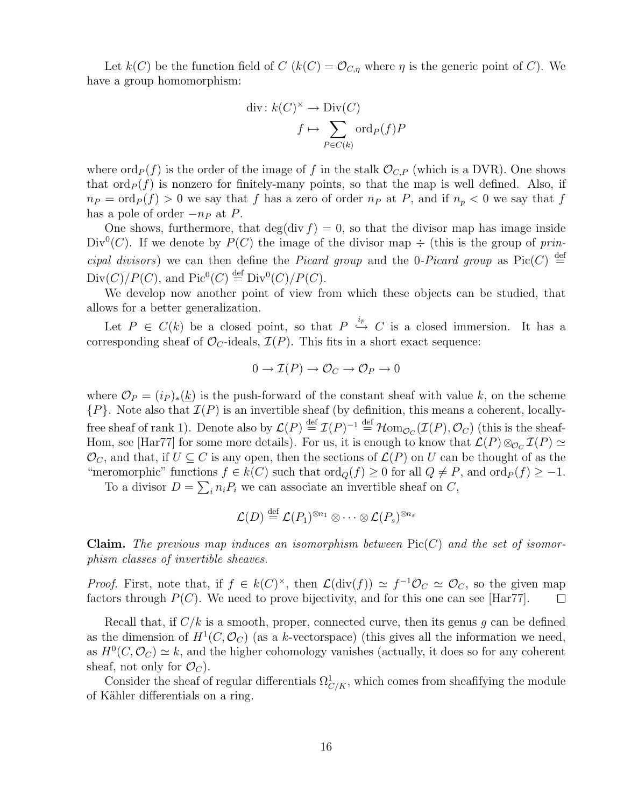Let  $k(C)$  be the function field of  $C$   $(k(C) = \mathcal{O}_{C,\eta}$  where  $\eta$  is the generic point of C). We have a group homomorphism:

$$
\operatorname{div}: k(C)^{\times} \to \operatorname{Div}(C)
$$

$$
f \mapsto \sum_{P \in C(k)} \operatorname{ord}_P(f)P
$$

where  $\text{ord}_P(f)$  is the order of the image of f in the stalk  $\mathcal{O}_{C,P}$  (which is a DVR). One shows that  $\text{ord}_P(f)$  is nonzero for finitely-many points, so that the map is well defined. Also, if  $n_P = \text{ord}_P(f) > 0$  we say that f has a zero of order  $n_P$  at P, and if  $n_p < 0$  we say that f has a pole of order  $-n_P$  at P.

One shows, furthermore, that deg(div  $f$ ) = 0, so that the divisor map has image inside Div<sup>0</sup>(C). If we denote by  $P(C)$  the image of the divisor map  $\div$  (this is the group of principal divisors) we can then define the Picard group and the 0-Picard group as Pic(C)  $\stackrel{\text{def}}{=}$  $Div(C)/P(C)$ , and  $Pic^0(C) \stackrel{\text{def}}{=} Div^0(C)/P(C)$ .

We develop now another point of view from which these objects can be studied, that allows for a better generalization.

Let  $P \in C(k)$  be a closed point, so that  $P \stackrel{i_p}{\hookrightarrow} C$  is a closed immersion. It has a corresponding sheaf of  $\mathcal{O}_C$ -ideals,  $\mathcal{I}(P)$ . This fits in a short exact sequence:

$$
0 \to \mathcal{I}(P) \to \mathcal{O}_C \to \mathcal{O}_P \to 0
$$

where  $\mathcal{O}_P = (i_P)_*(\underline{k})$  is the push-forward of the constant sheaf with value k, on the scheme  ${P}$ . Note also that  $\mathcal{I}(P)$  is an invertible sheaf (by definition, this means a coherent, locallyfree sheaf of rank 1). Denote also by  $\mathcal{L}(P) \stackrel{\text{def}}{=} \mathcal{I}(P)^{-1} \stackrel{\text{def}}{=} \mathcal{H} \text{om}_{\mathcal{O}_C}(\mathcal{I}(P), \mathcal{O}_C)$  (this is the sheaf-Hom, see [Har77] for some more details). For us, it is enough to know that  $\mathcal{L}(P) \otimes_{\mathcal{O}_C} \mathcal{I}(P) \simeq$  $\mathcal{O}_C$ , and that, if  $U \subseteq C$  is any open, then the sections of  $\mathcal{L}(P)$  on U can be thought of as the "meromorphic" functions  $f \in k(C)$  such that  $\text{ord}_Q(f) \geq 0$  for all  $Q \neq P$ , and  $\text{ord}_P(f) \geq -1$ .

To a divisor  $D = \sum_i n_i P_i$  we can associate an invertible sheaf on C,

$$
\mathcal{L}(D) \stackrel{\text{def}}{=} \mathcal{L}(P_1)^{\otimes n_1} \otimes \cdots \otimes \mathcal{L}(P_s)^{\otimes n_s}
$$

**Claim.** The previous map induces an isomorphism between  $Pic(C)$  and the set of isomorphism classes of invertible sheaves.

*Proof.* First, note that, if  $f \in k(C)^{\times}$ , then  $\mathcal{L}(\text{div}(f)) \simeq f^{-1}\mathcal{O}_C \simeq \mathcal{O}_C$ , so the given map factors through  $P(C)$ . We need to prove bijectivity, and for this one can see [Har77].  $\Box$ 

Recall that, if  $C/k$  is a smooth, proper, connected curve, then its genus q can be defined as the dimension of  $H^1(C, \mathcal{O}_C)$  (as a k-vectorspace) (this gives all the information we need, as  $H^0(C, \mathcal{O}_C) \simeq k$ , and the higher cohomology vanishes (actually, it does so for any coherent sheaf, not only for  $\mathcal{O}_C$ ).

Consider the sheaf of regular differentials  $\Omega^1_{C/K}$ , which comes from sheafifying the module of Kähler differentials on a ring.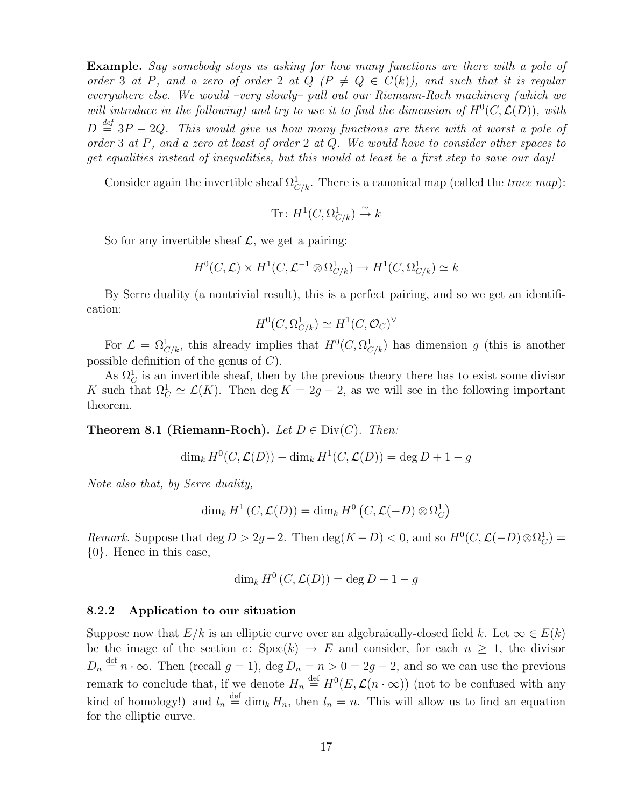Example. Say somebody stops us asking for how many functions are there with a pole of order 3 at P, and a zero of order 2 at  $Q \nvert P \neq Q \in C(k)$ , and such that it is regular everywhere else. We would –very slowly– pull out our Riemann-Roch machinery (which we will introduce in the following) and try to use it to find the dimension of  $H^0(C, \mathcal{L}(D))$ , with  $D \stackrel{\text{def}}{=} 3P - 2Q$ . This would give us how many functions are there with at worst a pole of order 3 at P, and a zero at least of order 2 at Q. We would have to consider other spaces to get equalities instead of inequalities, but this would at least be a first step to save our day!

Consider again the invertible sheaf  $\Omega_{C/k}^1$ . There is a canonical map (called the *trace map*):

Tr: 
$$
H^1(C, \Omega^1_{C/k}) \xrightarrow{\simeq} k
$$

So for any invertible sheaf  $\mathcal{L}$ , we get a pairing:

$$
H^0(C, \mathcal{L}) \times H^1(C, \mathcal{L}^{-1} \otimes \Omega^1_{C/k}) \to H^1(C, \Omega^1_{C/k}) \simeq k
$$

By Serre duality (a nontrivial result), this is a perfect pairing, and so we get an identification:

$$
H^0(C, \Omega^1_{C/k}) \simeq H^1(C, \mathcal{O}_C)^\vee
$$

For  $\mathcal{L} = \Omega^1_{C/k}$ , this already implies that  $H^0(C, \Omega^1_{C/k})$  has dimension g (this is another possible definition of the genus of C).

As  $\Omega_C^1$  is an invertible sheaf, then by the previous theory there has to exist some divisor K such that  $\Omega^1_C \simeq \mathcal{L}(K)$ . Then deg  $K = 2g - 2$ , as we will see in the following important theorem.

**Theorem 8.1 (Riemann-Roch).** Let  $D \in Div(C)$ . Then:

$$
\dim_k H^0(C, \mathcal{L}(D)) - \dim_k H^1(C, \mathcal{L}(D)) = \deg D + 1 - g
$$

Note also that, by Serre duality,

$$
\dim_k H^1(C,\mathcal{L}(D)) = \dim_k H^0(C,\mathcal{L}(-D) \otimes \Omega_C^1)
$$

Remark. Suppose that  $\deg D > 2g - 2$ . Then  $\deg(K - D) < 0$ , and so  $H^0(C, \mathcal{L}(-D) \otimes \Omega_C^1) =$ {0}. Hence in this case,

$$
\dim_k H^0(C, \mathcal{L}(D)) = \deg D + 1 - g
$$

#### 8.2.2 Application to our situation

Suppose now that  $E/k$  is an elliptic curve over an algebraically-closed field k. Let  $\infty \in E(k)$ be the image of the section  $e: Spec(k) \rightarrow E$  and consider, for each  $n \geq 1$ , the divisor  $D_n \stackrel{\text{def}}{=} n \cdot \infty$ . Then (recall  $g = 1$ ), deg  $D_n = n > 0 = 2g - 2$ , and so we can use the previous remark to conclude that, if we denote  $H_n \stackrel{\text{def}}{=} H^0(E, \mathcal{L}(n \cdot \infty))$  (not to be confused with any kind of homology!) and  $l_n \stackrel{\text{def}}{=} \dim_k H_n$ , then  $l_n = n$ . This will allow us to find an equation for the elliptic curve.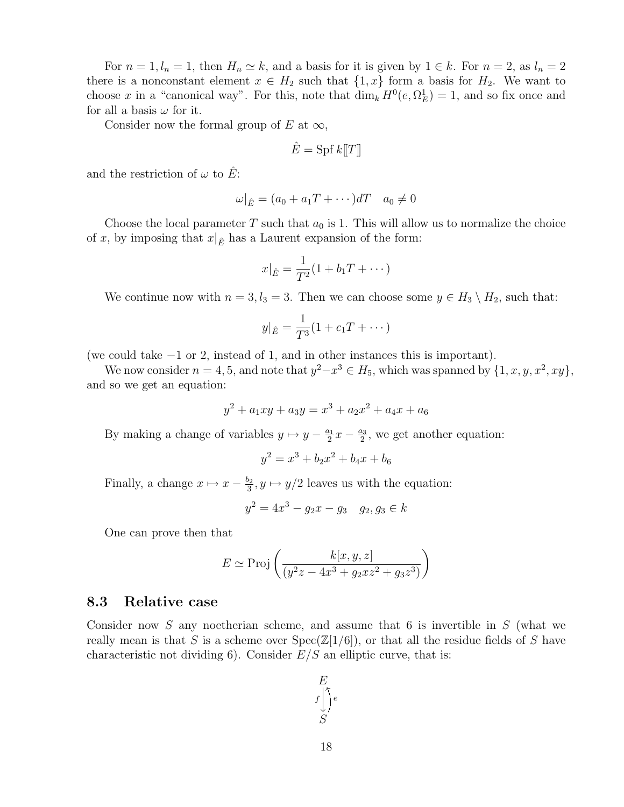For  $n = 1, l_n = 1$ , then  $H_n \simeq k$ , and a basis for it is given by  $1 \in k$ . For  $n = 2$ , as  $l_n = 2$ there is a nonconstant element  $x \in H_2$  such that  $\{1, x\}$  form a basis for  $H_2$ . We want to choose x in a "canonical way". For this, note that  $\dim_k H^0(e, \Omega^1_E) = 1$ , and so fix once and for all a basis  $\omega$  for it.

Consider now the formal group of E at  $\infty$ ,

$$
\hat{E} = \text{Spf } k[\![T]\!]
$$

and the restriction of  $\omega$  to  $\hat{E}$ :

$$
\omega|_{\hat{E}} = (a_0 + a_1 T + \cdots) dT \quad a_0 \neq 0
$$

Choose the local parameter T such that  $a_0$  is 1. This will allow us to normalize the choice of x, by imposing that  $x|_{\hat{E}}$  has a Laurent expansion of the form:

$$
x|_{\hat{E}} = \frac{1}{T^2}(1 + b_1 T + \dots)
$$

We continue now with  $n = 3, l_3 = 3$ . Then we can choose some  $y \in H_3 \setminus H_2$ , such that:

$$
y|_{\hat{E}} = \frac{1}{T^3}(1 + c_1T + \cdots)
$$

(we could take −1 or 2, instead of 1, and in other instances this is important).

We now consider  $n = 4, 5$ , and note that  $y^2 - x^3 \in H_5$ , which was spanned by  $\{1, x, y, x^2, xy\}$ , and so we get an equation:

$$
y^2 + a_1xy + a_3y = x^3 + a_2x^2 + a_4x + a_6
$$

By making a change of variables  $y \mapsto y - \frac{a_1}{2}$  $\frac{a_1}{2}x - \frac{a_3}{2}$  $\frac{u_3}{2}$ , we get another equation:

$$
y^2 = x^3 + b_2 x^2 + b_4 x + b_6
$$

Finally, a change  $x \mapsto x - \frac{b_2}{3}$  $y_3^2, y \mapsto y/2$  leaves us with the equation:

$$
y^2 = 4x^3 - g_2x - g_3 \quad g_2, g_3 \in k
$$

One can prove then that

$$
E \simeq \operatorname{Proj}\left(\frac{k[x,y,z]}{(y^2z - 4x^3 + g_2xz^2 + g_3z^3)}\right)
$$

#### 8.3 Relative case

Consider now S any noetherian scheme, and assume that 6 is invertible in  $S$  (what we really mean is that S is a scheme over  $Spec(\mathbb{Z}[1/6])$ , or that all the residue fields of S have characteristic not dividing 6). Consider  $E/S$  an elliptic curve, that is:

$$
\begin{array}{c}\nE \\
f \bigcup_{S}^{r} e\n\end{array}
$$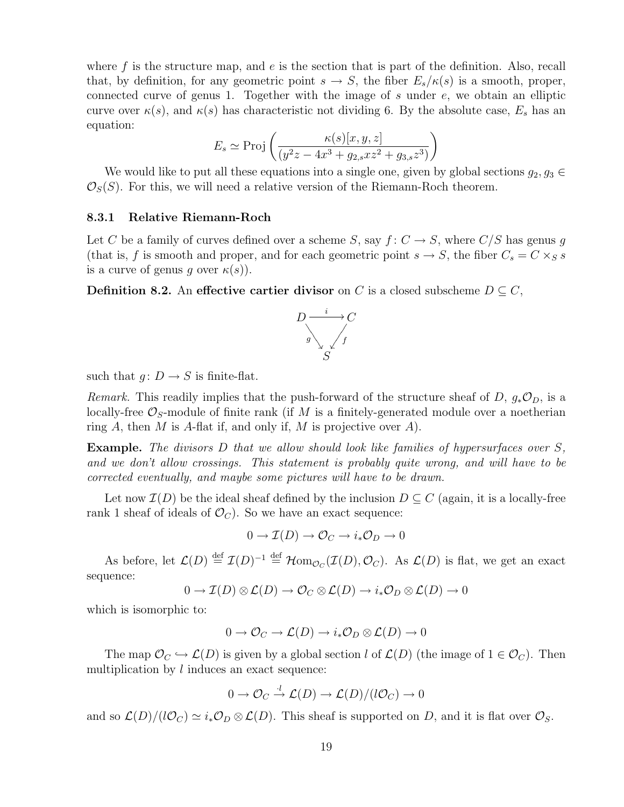where  $f$  is the structure map, and  $e$  is the section that is part of the definition. Also, recall that, by definition, for any geometric point  $s \to S$ , the fiber  $E_s/\kappa(s)$  is a smooth, proper, connected curve of genus 1. Together with the image of  $s$  under  $e$ , we obtain an elliptic curve over  $\kappa(s)$ , and  $\kappa(s)$  has characteristic not dividing 6. By the absolute case,  $E_s$  has an equation:

$$
E_s \simeq \operatorname{Proj}\left(\frac{\kappa(s)[x, y, z]}{(y^2z - 4x^3 + g_{2,s}xz^2 + g_{3,s}z^3)}\right)
$$

We would like to put all these equations into a single one, given by global sections  $g_2, g_3 \in$  $\mathcal{O}_S(S)$ . For this, we will need a relative version of the Riemann-Roch theorem.

#### 8.3.1 Relative Riemann-Roch

Let C be a family of curves defined over a scheme S, say  $f: C \to S$ , where  $C/S$  has genus g (that is, f is smooth and proper, and for each geometric point  $s \to S$ , the fiber  $C_s = C \times_S s$ is a curve of genus q over  $\kappa(s)$ ).

**Definition 8.2.** An effective cartier divisor on C is a closed subscheme  $D \subseteq C$ ,



such that  $g: D \to S$  is finite-flat.

Remark. This readily implies that the push-forward of the structure sheaf of D,  $g_*\mathcal{O}_D$ , is a locally-free  $\mathcal{O}_S$ -module of finite rank (if M is a finitely-generated module over a noetherian ring A, then M is A-flat if, and only if, M is projective over A).

**Example.** The divisors  $D$  that we allow should look like families of hypersurfaces over  $S$ , and we don't allow crossings. This statement is probably quite wrong, and will have to be corrected eventually, and maybe some pictures will have to be drawn.

Let now  $\mathcal{I}(D)$  be the ideal sheaf defined by the inclusion  $D \subseteq C$  (again, it is a locally-free rank 1 sheaf of ideals of  $\mathcal{O}_C$ . So we have an exact sequence:

$$
0 \to \mathcal{I}(D) \to \mathcal{O}_C \to i_* \mathcal{O}_D \to 0
$$

As before, let  $\mathcal{L}(D) \stackrel{\text{def}}{=} \mathcal{I}(D)^{-1} \stackrel{\text{def}}{=} \mathcal{H} \text{om}_{\mathcal{O}_C}(\mathcal{I}(D), \mathcal{O}_C)$ . As  $\mathcal{L}(D)$  is flat, we get an exact sequence:

$$
0 \to \mathcal{I}(D) \otimes \mathcal{L}(D) \to \mathcal{O}_C \otimes \mathcal{L}(D) \to i_* \mathcal{O}_D \otimes \mathcal{L}(D) \to 0
$$

which is isomorphic to:

$$
0 \to \mathcal{O}_C \to \mathcal{L}(D) \to i_* \mathcal{O}_D \otimes \mathcal{L}(D) \to 0
$$

The map  $\mathcal{O}_C \hookrightarrow \mathcal{L}(D)$  is given by a global section l of  $\mathcal{L}(D)$  (the image of  $1 \in \mathcal{O}_C$ ). Then multiplication by  $l$  induces an exact sequence:

$$
0 \to \mathcal{O}_C \stackrel{l}{\to} \mathcal{L}(D) \to \mathcal{L}(D)/(l\mathcal{O}_C) \to 0
$$

and so  $\mathcal{L}(D)/(l\mathcal{O}_C) \simeq i_*\mathcal{O}_D \otimes \mathcal{L}(D)$ . This sheaf is supported on D, and it is flat over  $\mathcal{O}_S$ .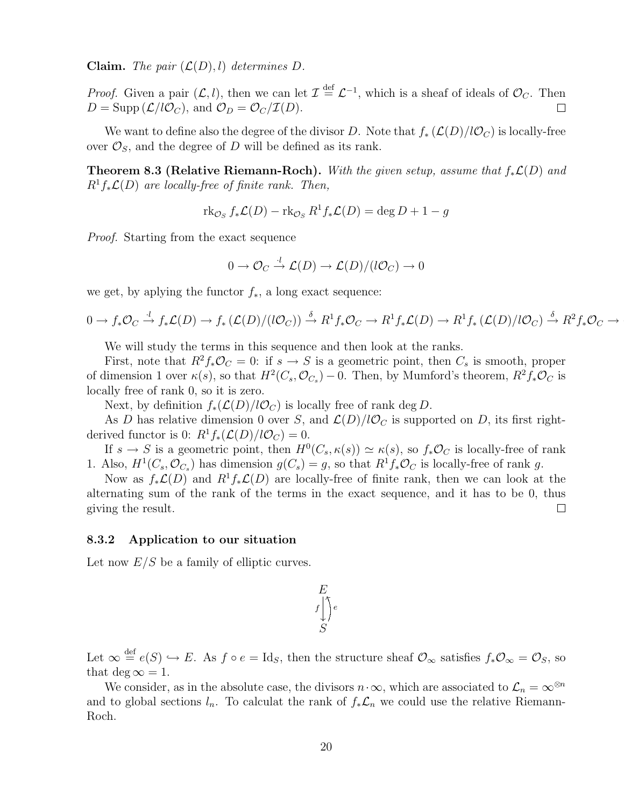**Claim.** The pair  $(\mathcal{L}(D), l)$  determines D.

*Proof.* Given a pair  $(L, l)$ , then we can let  $\mathcal{I} \stackrel{\text{def}}{=} \mathcal{L}^{-1}$ , which is a sheaf of ideals of  $\mathcal{O}_C$ . Then  $D = \text{Supp}(\mathcal{L}/l\mathcal{O}_C)$ , and  $\mathcal{O}_D = \mathcal{O}_C/\mathcal{I}(D)$ .  $\Box$ 

We want to define also the degree of the divisor D. Note that  $f_* (\mathcal{L}(D)/l\mathcal{O}_C)$  is locally-free over  $\mathcal{O}_S$ , and the degree of D will be defined as its rank.

**Theorem 8.3 (Relative Riemann-Roch).** With the given setup, assume that  $f_*\mathcal{L}(D)$  and  $R^1f_*\mathcal{L}(D)$  are locally-free of finite rank. Then,

$$
\operatorname{rk}_{\mathcal{O}_S} f_* \mathcal{L}(D) - \operatorname{rk}_{\mathcal{O}_S} R^1 f_* \mathcal{L}(D) = \deg D + 1 - g
$$

Proof. Starting from the exact sequence

$$
0 \to \mathcal{O}_C \stackrel{\cdot l}{\to} \mathcal{L}(D) \to \mathcal{L}(D)/(l\mathcal{O}_C) \to 0
$$

we get, by aplying the functor  $f_*$ , a long exact sequence:

$$
0 \to f_*\mathcal{O}_C \stackrel{\cdot l}{\to} f_*\mathcal{L}(D) \to f_*\left(\mathcal{L}(D)/(l\mathcal{O}_C)\right) \stackrel{\delta}{\to} R^1 f_*\mathcal{O}_C \to R^1 f_*\mathcal{L}(D) \to R^1 f_*\left(\mathcal{L}(D)/l\mathcal{O}_C\right) \stackrel{\delta}{\to} R^2 f_*\mathcal{O}_C \to
$$

We will study the terms in this sequence and then look at the ranks.

First, note that  $R^2 f_* \mathcal{O}_C = 0$ : if  $s \to S$  is a geometric point, then  $C_s$  is smooth, proper of dimension 1 over  $\kappa(s)$ , so that  $H^2(C_s, \mathcal{O}_{C_s}) - 0$ . Then, by Mumford's theorem,  $R^2 f_* \mathcal{O}_C$  is locally free of rank 0, so it is zero.

Next, by definition  $f_*(\mathcal{L}(D)/l\mathcal{O}_C)$  is locally free of rank deg D.

As D has relative dimension 0 over S, and  $\mathcal{L}(D)/l\mathcal{O}_C$  is supported on D, its first rightderived functor is 0:  $R^1f_*(\mathcal{L}(D)/l\mathcal{O}_C) = 0.$ 

If  $s \to S$  is a geometric point, then  $H^0(C_s, \kappa(s)) \simeq \kappa(s)$ , so  $f_*\mathcal{O}_C$  is locally-free of rank 1. Also,  $H^1(C_s, \mathcal{O}_{C_s})$  has dimension  $g(C_s) = g$ , so that  $R^1 f_* \mathcal{O}_C$  is locally-free of rank g.

Now as  $f_*\mathcal{L}(D)$  and  $R^1f_*\mathcal{L}(D)$  are locally-free of finite rank, then we can look at the alternating sum of the rank of the terms in the exact sequence, and it has to be 0, thus giving the result.  $\Box$ 

#### 8.3.2 Application to our situation

Let now  $E/S$  be a family of elliptic curves.

$$
\begin{array}{c}\nE \\
f \downarrow \searrow \\
S\n\end{array}
$$

Let  $\infty \stackrel{\text{def}}{=} e(S) \hookrightarrow E$ . As  $f \circ e = \text{Id}_S$ , then the structure sheaf  $\mathcal{O}_{\infty}$  satisfies  $f_*\mathcal{O}_{\infty} = \mathcal{O}_S$ , so that deg  $\infty = 1$ .

We consider, as in the absolute case, the divisors  $n \cdot \infty$ , which are associated to  $\mathcal{L}_n = \infty^{\otimes n}$ and to global sections  $l_n$ . To calculat the rank of  $f_*\mathcal{L}_n$  we could use the relative Riemann-Roch.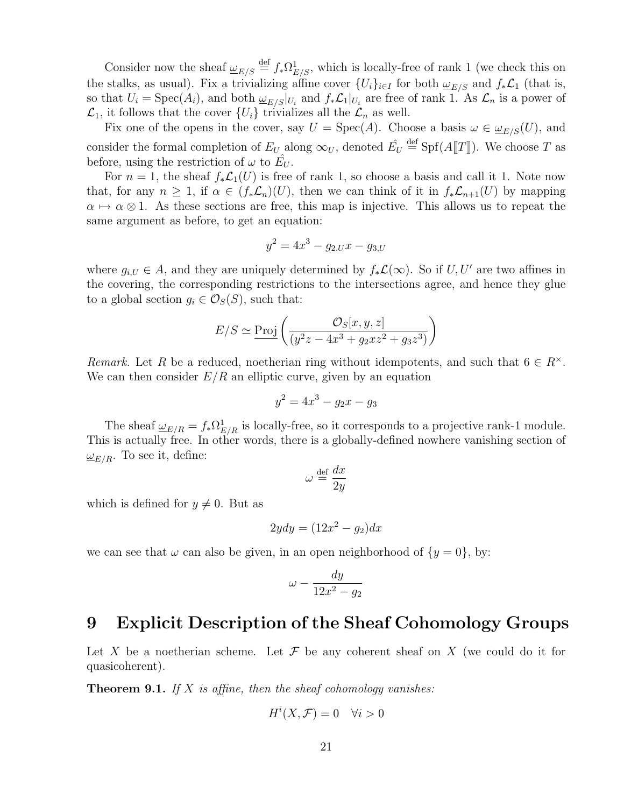Consider now the sheaf  $\underline{\omega}_{E/S} \stackrel{\text{def}}{=} f_* \Omega^1_{E/S}$ , which is locally-free of rank 1 (we check this on the stalks, as usual). Fix a trivializing affine cover  $\{U_i\}_{i\in I}$  for both  $\underline{\omega}_{E/S}$  and  $f_*\mathcal{L}_1$  (that is, so that  $U_i = \text{Spec}(A_i)$ , and both  $\underline{\omega}_{E/S}|_{U_i}$  and  $f_*\mathcal{L}_1|_{U_i}$  are free of rank 1. As  $\mathcal{L}_n$  is a power of  $\mathcal{L}_1$ , it follows that the cover  $\{U_i\}$  trivializes all the  $\mathcal{L}_n$  as well.

Fix one of the opens in the cover, say  $U = \text{Spec}(A)$ . Choose a basis  $\omega \in \underline{\omega}_{E/S}(U)$ , and consider the formal completion of  $E_U$  along  $\infty_U$ , denoted  $\hat{E_U} \stackrel{\text{def}}{=} \text{Spf}(A[\![T]\!])$ . We choose T as before, using the restriction of  $\omega$  to  $\hat{E_U}$ .

For  $n = 1$ , the sheaf  $f_*\mathcal{L}_1(U)$  is free of rank 1, so choose a basis and call it 1. Note now that, for any  $n \geq 1$ , if  $\alpha \in (f_* \mathcal{L}_n)(U)$ , then we can think of it in  $f_* \mathcal{L}_{n+1}(U)$  by mapping  $\alpha \mapsto \alpha \otimes 1$ . As these sections are free, this map is injective. This allows us to repeat the same argument as before, to get an equation:

$$
y^2 = 4x^3 - g_{2,U}x - g_{3,U}
$$

where  $g_{i,U} \in A$ , and they are uniquely determined by  $f_*\mathcal{L}(\infty)$ . So if  $U, U'$  are two affines in the covering, the corresponding restrictions to the intersections agree, and hence they glue to a global section  $g_i \in \mathcal{O}_S(S)$ , such that:

$$
E/S \simeq \underline{\operatorname{Proj}}\left(\frac{\mathcal{O}_S[x, y, z]}{(y^2z - 4x^3 + g_2xz^2 + g_3z^3)}\right)
$$

Remark. Let R be a reduced, noetherian ring without idempotents, and such that  $6 \in R^{\times}$ . We can then consider  $E/R$  an elliptic curve, given by an equation

$$
y^2 = 4x^3 - g_2x - g_3
$$

The sheaf  $\underline{\omega}_{E/R} = f_* \Omega^1_{E/R}$  is locally-free, so it corresponds to a projective rank-1 module. This is actually free. In other words, there is a globally-defined nowhere vanishing section of  $\omega_{E/R}$ . To see it, define:

$$
\omega \stackrel{\text{def}}{=} \frac{dx}{2y}
$$

which is defined for  $y \neq 0$ . But as

$$
2ydy = (12x^2 - g_2)dx
$$

we can see that  $\omega$  can also be given, in an open neighborhood of  $\{y=0\}$ , by:

$$
\omega - \frac{dy}{12x^2 - g_2}
$$

### 9 Explicit Description of the Sheaf Cohomology Groups

Let X be a noetherian scheme. Let F be any coherent sheaf on X (we could do it for quasicoherent).

**Theorem 9.1.** If X is affine, then the sheaf cohomology vanishes:

$$
H^i(X, \mathcal{F}) = 0 \quad \forall i > 0
$$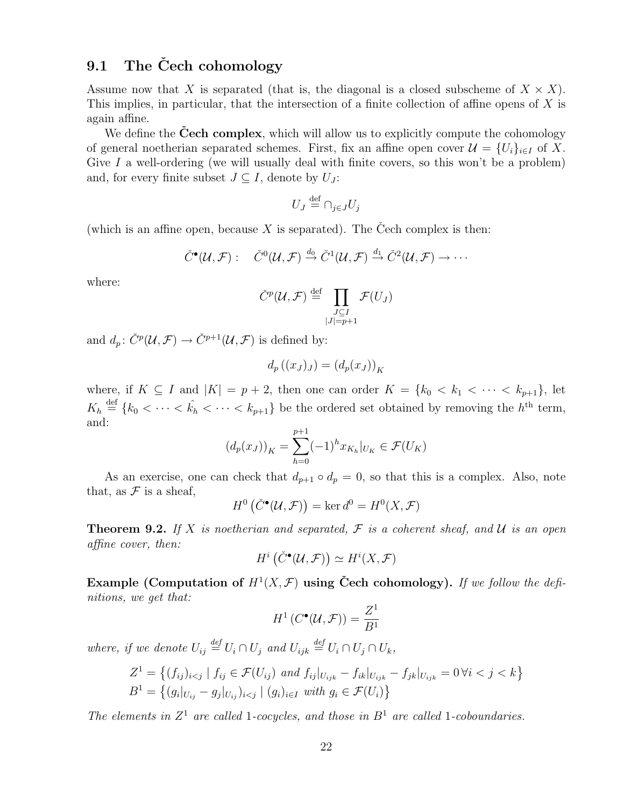#### 9.1 The Čech cohomology

Assume now that X is separated (that is, the diagonal is a closed subscheme of  $X \times X$ ). This implies, in particular, that the intersection of a finite collection of affine opens of X is again affine.

We define the **Cech complex**, which will allow us to explicitly compute the cohomology of general noetherian separated schemes. First, fix an affine open cover  $\mathcal{U} = \{U_i\}_{i\in I}$  of X. Give I a well-ordering (we will usually deal with finite covers, so this won't be a problem) and, for every finite subset  $J \subseteq I$ , denote by  $U_J$ :

$$
U_J \stackrel{\text{def}}{=} \bigcap_{j \in J} U_j
$$

(which is an affine open, because X is separated). The Čech complex is then:

$$
\check{C}^{\bullet}(\mathcal{U},\mathcal{F}): \quad \check{C}^0(\mathcal{U},\mathcal{F}) \stackrel{d_0}{\rightarrow} \check{C}^1(\mathcal{U},\mathcal{F}) \stackrel{d_1}{\rightarrow} \check{C}^2(\mathcal{U},\mathcal{F}) \rightarrow \cdots
$$

where:

$$
\check{C}^p(\mathcal{U}, \mathcal{F}) \stackrel{\text{def}}{=} \prod_{\substack{J \subseteq I \\ |J| = p+1}} \mathcal{F}(U_J)
$$

and  $d_p: \check{C}^p(\mathcal{U}, \mathcal{F}) \to \check{C}^{p+1}(\mathcal{U}, \mathcal{F})$  is defined by:

$$
d_p((x_J)_J) = (d_p(x_J))_K
$$

where, if  $K \subseteq I$  and  $|K| = p + 2$ , then one can order  $K = \{k_0 < k_1 < \cdots < k_{p+1}\}\$ , let  $K_h \stackrel{\text{def}}{=} \{k_0 < \cdots < k_h < \cdots < k_{p+1}\}$  be the ordered set obtained by removing the  $h^{\text{th}}$  term, and:

$$
(d_p(x_J))_K = \sum_{h=0}^{p+1} (-1)^h x_{K_h}|_{U_K} \in \mathcal{F}(U_K)
$$

As an exercise, one can check that  $d_{p+1} \circ d_p = 0$ , so that this is a complex. Also, note that, as  $\mathcal F$  is a sheaf,

$$
H^0(\check{C}^\bullet(\mathcal{U}, \mathcal{F})) = \ker d^0 = H^0(X, \mathcal{F})
$$

**Theorem 9.2.** If X is noetherian and separated,  $\mathcal F$  is a coherent sheaf, and  $\mathcal U$  is an open affine cover, then:

$$
H^i\left(\check{C}^\bullet(\mathcal{U},\mathcal{F})\right)\simeq H^i(X,\mathcal{F})
$$

Example (Computation of  $H^1(X, \mathcal{F})$  using Čech cohomology). If we follow the definitions, we get that:

$$
H^1(C^{\bullet}(\mathcal{U}, \mathcal{F})) = \frac{Z^1}{B^1}
$$

where, if we denote  $U_{ij} \stackrel{\text{def}}{=} U_i \cap U_j$  and  $U_{ijk} \stackrel{\text{def}}{=} U_i \cap U_j \cap U_k$ ,

$$
Z^{1} = \left\{ (f_{ij})_{i < j} \mid f_{ij} \in \mathcal{F}(U_{ij}) \text{ and } f_{ij}|_{U_{ijk}} - f_{ik}|_{U_{ijk}} - f_{jk}|_{U_{ijk}} = 0 \,\forall i < j < k \right\}
$$
\n
$$
B^{1} = \left\{ (g_{i}|_{U_{ij}} - g_{j}|_{U_{ij}})_{i < j} \mid (g_{i})_{i \in I} \text{ with } g_{i} \in \mathcal{F}(U_{i}) \right\}
$$

The elements in  $Z^1$  are called 1-cocycles, and those in  $B^1$  are called 1-coboundaries.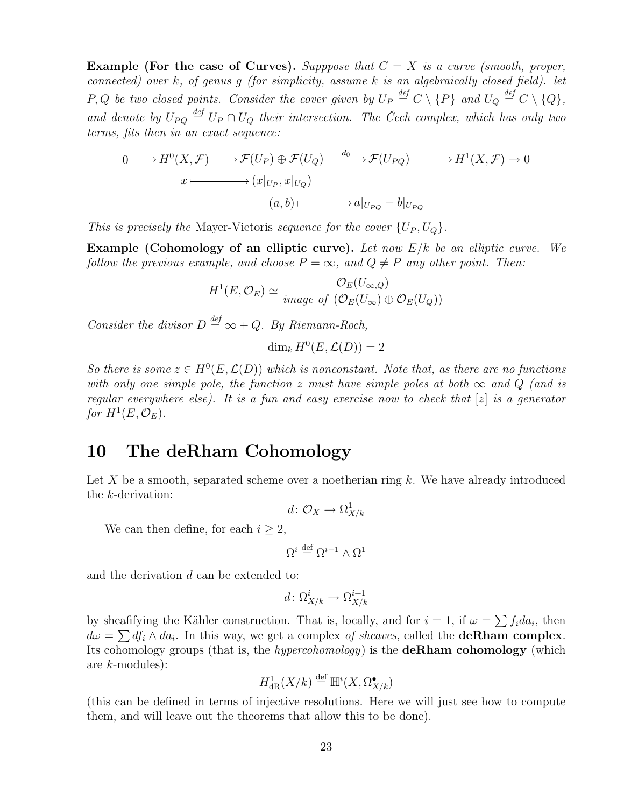**Example (For the case of Curves).** Supppose that  $C = X$  is a curve (smooth, proper, connected) over  $k$ , of genus  $g$  (for simplicity, assume  $k$  is an algebraically closed field). let P, Q be two closed points. Consider the cover given by  $U_P \stackrel{def}{=} C \setminus \{P\}$  and  $U_Q \stackrel{def}{=} C \setminus \{Q\}$ , and denote by  $U_{PQ} \stackrel{def}{=} U_P \cap U_Q$  their intersection. The Čech complex, which has only two terms, fits then in an exact sequence:

$$
0 \longrightarrow H^{0}(X, \mathcal{F}) \longrightarrow \mathcal{F}(U_{P}) \oplus \mathcal{F}(U_{Q}) \longrightarrow^{d_{0}} \mathcal{F}(U_{PQ}) \longrightarrow H^{1}(X, \mathcal{F}) \longrightarrow 0
$$

$$
x \longmapsto (x|_{U_{P}}, x|_{U_{Q}})
$$

$$
(a, b) \longmapsto a|_{U_{PQ}} - b|_{U_{PQ}}
$$

This is precisely the Mayer-Vietoris sequence for the cover  $\{U_P, U_Q\}$ .

**Example (Cohomology of an elliptic curve).** Let now  $E/k$  be an elliptic curve. We follow the previous example, and choose  $P = \infty$ , and  $Q \neq P$  any other point. Then:

$$
H^{1}(E, \mathcal{O}_{E}) \simeq \frac{\mathcal{O}_{E}(U_{\infty, Q})}{\text{image of } (\mathcal{O}_{E}(U_{\infty}) \oplus \mathcal{O}_{E}(U_{Q}))}
$$

Consider the divisor  $D \stackrel{def}{=} \infty + Q$ . By Riemann-Roch,

$$
\dim_k H^0(E, \mathcal{L}(D)) = 2
$$

So there is some  $z \in H^0(E, \mathcal{L}(D))$  which is nonconstant. Note that, as there are no functions with only one simple pole, the function z must have simple poles at both  $\infty$  and Q (and is regular everywhere else). It is a fun and easy exercise now to check that  $|z|$  is a generator for  $H^1(E, \mathcal{O}_E)$ .

## 10 The deRham Cohomology

Let  $X$  be a smooth, separated scheme over a noetherian ring  $k$ . We have already introduced the k-derivation:

$$
d\colon \mathcal{O}_X\to \Omega^1_{X/k}
$$

We can then define, for each  $i \geq 2$ ,

$$
\Omega^i \stackrel{\rm def}{=} \Omega^{i-1} \wedge \Omega^1
$$

and the derivation d can be extended to:

$$
d\colon \Omega^i_{X/k} \to \Omega^{i+1}_{X/k}
$$

by sheafifying the Kähler construction. That is, locally, and for  $i = 1$ , if  $\omega = \sum f_i da_i$ , then  $d\omega = \sum df_i \wedge da_i$ . In this way, we get a complex of sheaves, called the **deRham complex**. Its cohomology groups (that is, the hypercohomology) is the deRham cohomology (which are k-modules):

$$
H^1_{\mathrm{dR}}(X/k) \stackrel{\text{def}}{=} \mathbb{H}^i(X, \Omega^\bullet_{X/k})
$$

(this can be defined in terms of injective resolutions. Here we will just see how to compute them, and will leave out the theorems that allow this to be done).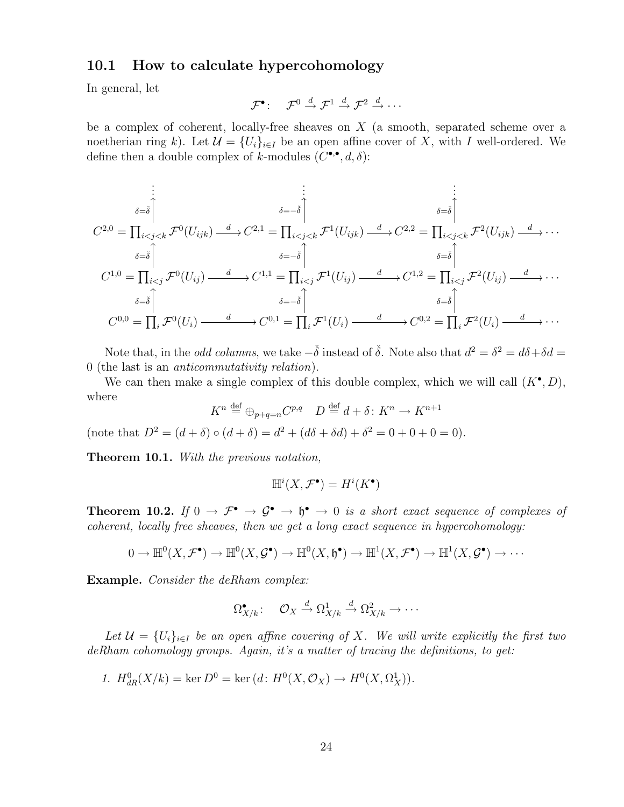#### 10.1 How to calculate hypercohomology

In general, let

$$
\mathcal{F}^{\bullet} : \quad \mathcal{F}^0 \stackrel{d}{\rightarrow} \mathcal{F}^1 \stackrel{d}{\rightarrow} \mathcal{F}^2 \stackrel{d}{\rightarrow} \cdots
$$

be a complex of coherent, locally-free sheaves on X (a smooth, separated scheme over a noetherian ring k). Let  $\mathcal{U} = \{U_i\}_{i \in I}$  be an open affine cover of X, with I well-ordered. We define then a double complex of k-modules  $(C^{\bullet,\bullet}, d, \delta)$ :

$$
C^{2,0} = \prod_{\substack{i < j < k \\ \delta = \check{\delta}}} \mathcal{F}^0(U_{ijk}) \xrightarrow{d} C^{2,1} = \prod_{\substack{i < j < k \\ \delta = -\check{\delta}}} \mathcal{F}^1(U_{ijk}) \xrightarrow{d} C^{2,2} = \prod_{\substack{i < j < k \\ \delta = \check{\delta}}} \mathcal{F}^2(U_{ijk}) \xrightarrow{d} \cdots
$$
\n
$$
C^{1,0} = \prod_{\substack{i < j \\ \delta = \check{\delta}}} \mathcal{F}^0(U_{ij}) \xrightarrow{d} C^{1,1} = \prod_{\substack{i < j \\ \delta = -\check{\delta}}} \mathcal{F}^1(U_{ij}) \xrightarrow{d} C^{1,2} = \prod_{\substack{i < j \\ \delta = \check{\delta}}} \mathcal{F}^2(U_{ij}) \xrightarrow{d} \cdots
$$
\n
$$
\sum_{\substack{\delta = \check{\delta} \\ \delta = \check{\delta}}} \mathcal{F}^0(U_i) \xrightarrow{d} C^{0,1} = \prod_{i} \mathcal{F}^1(U_i) \xrightarrow{d} C^{0,2} = \prod_{i} \mathcal{F}^2(U_i) \xrightarrow{d} \cdots
$$

Note that, in the *odd columns*, we take  $-\check{\delta}$  instead of  $\check{\delta}$ . Note also that  $d^2 = \delta^2 = d\delta + \delta d =$ 0 (the last is an anticommutativity relation).

We can then make a single complex of this double complex, which we will call  $(K^{\bullet}, D)$ , where

$$
K^n \stackrel{\text{def}}{=} \bigoplus_{p+q=n} C^{p,q} \quad D \stackrel{\text{def}}{=} d + \delta \colon K^n \to K^{n+1}
$$

(note that  $D^2 = (d + \delta) \circ (d + \delta) = d^2 + (d\delta + \delta d) + \delta^2 = 0 + 0 + 0 = 0$ ).

Theorem 10.1. With the previous notation,

$$
\mathbb{H}^i(X, \mathcal{F}^\bullet) = H^i(K^\bullet)
$$

**Theorem 10.2.** If  $0 \to \mathcal{F}^{\bullet} \to \mathcal{G}^{\bullet} \to \mathfrak{h}^{\bullet} \to 0$  is a short exact sequence of complexes of coherent, locally free sheaves, then we get a long exact sequence in hypercohomology:

$$
0 \to \mathbb{H}^0(X, \mathcal{F}^{\bullet}) \to \mathbb{H}^0(X, \mathcal{G}^{\bullet}) \to \mathbb{H}^0(X, \mathfrak{h}^{\bullet}) \to \mathbb{H}^1(X, \mathcal{F}^{\bullet}) \to \mathbb{H}^1(X, \mathcal{G}^{\bullet}) \to \cdots
$$

Example. Consider the deRham complex:

$$
\Omega_{X/k}^{\bullet} : \quad \mathcal{O}_X \xrightarrow{d} \Omega_{X/k}^1 \xrightarrow{d} \Omega_{X/k}^2 \to \cdots
$$

Let  $\mathcal{U} = \{U_i\}_{i \in I}$  be an open affine covering of X. We will write explicitly the first two deRham cohomology groups. Again, it's a matter of tracing the definitions, to get:

1.  $H_{dR}^{0}(X/k) = \ker D^{0} = \ker (d: H^{0}(X, \mathcal{O}_{X}) \to H^{0}(X, \Omega_{X}^{1})).$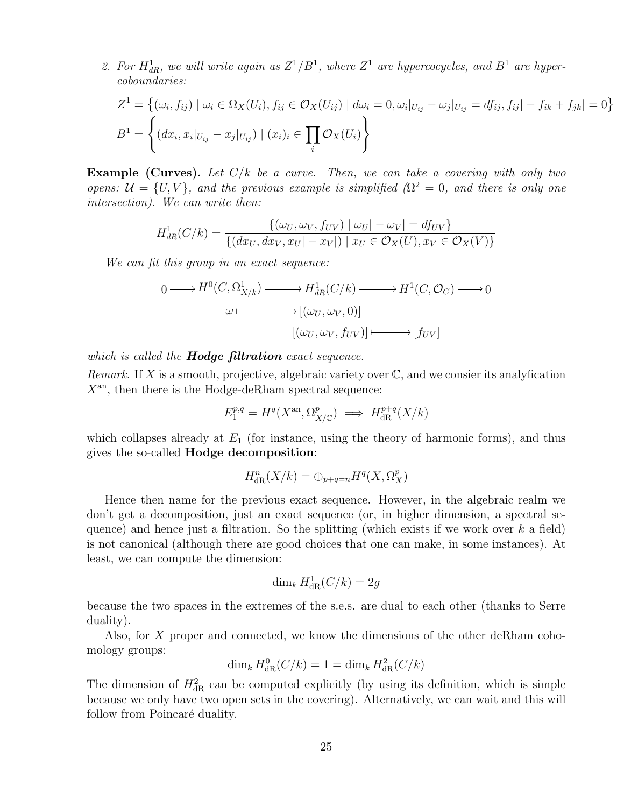2. For  $H_{dR}^1$ , we will write again as  $Z^1/B^1$ , where  $Z^1$  are hypercocycles, and  $B^1$  are hypercoboundaries:

$$
Z^{1} = \{ (\omega_{i}, f_{ij}) \mid \omega_{i} \in \Omega_{X}(U_{i}), f_{ij} \in \mathcal{O}_{X}(U_{ij}) \mid d\omega_{i} = 0, \omega_{i}|_{U_{ij}} - \omega_{j}|_{U_{ij}} = df_{ij}, f_{ij}| - f_{ik} + f_{jk}| = 0 \}
$$
  

$$
B^{1} = \left\{ (dx_{i}, x_{i}|_{U_{ij}} - x_{j}|_{U_{ij}}) \mid (x_{i})_{i} \in \prod_{i} \mathcal{O}_{X}(U_{i}) \right\}
$$

**Example (Curves).** Let  $C/k$  be a curve. Then, we can take a covering with only two opens:  $\mathcal{U} = \{U, V\}$ , and the previous example is simplified ( $\Omega^2 = 0$ , and there is only one intersection). We can write then:

$$
H_{dR}^1(C/k) = \frac{\{(\omega_U, \omega_V, f_{UV}) \mid \omega_U| - \omega_V| = df_{UV}\}}{\{(dx_U, dx_V, x_U| - x_V|) \mid x_U \in \mathcal{O}_X(U), x_V \in \mathcal{O}_X(V)\}}
$$

We can fit this group in an exact sequence:

$$
0 \longrightarrow H^{0}(C, \Omega^{1}_{X/k}) \longrightarrow H^{1}_{dR}(C/k) \longrightarrow H^{1}(C, \mathcal{O}_{C}) \longrightarrow 0
$$

$$
\omega \longmapsto [(\omega_{U}, \omega_{V}, 0)]
$$

$$
[(\omega_{U}, \omega_{V}, f_{UV})] \longmapsto [f_{UV}]
$$

which is called the **Hodge filtration** exact sequence.

Remark. If X is a smooth, projective, algebraic variety over  $\mathbb{C}$ , and we consier its analyfication  $X<sup>an</sup>$ , then there is the Hodge-deRham spectral sequence:

$$
E_1^{p,q} = H^q(X^{\rm an}, \Omega^p_{X/\mathbb{C}}) \implies H^{p+q}_{\rm dR}(X/k)
$$

which collapses already at  $E_1$  (for instance, using the theory of harmonic forms), and thus gives the so-called Hodge decomposition:

$$
H^n_{\mathrm{dR}}(X/k) = \bigoplus_{p+q=n} H^q(X, \Omega_X^p)
$$

Hence then name for the previous exact sequence. However, in the algebraic realm we don't get a decomposition, just an exact sequence (or, in higher dimension, a spectral sequence) and hence just a filtration. So the splitting (which exists if we work over  $k$  a field) is not canonical (although there are good choices that one can make, in some instances). At least, we can compute the dimension:

$$
\dim_k H^1_{\mathrm{dR}}(C/k) = 2g
$$

because the two spaces in the extremes of the s.e.s. are dual to each other (thanks to Serre duality).

Also, for X proper and connected, we know the dimensions of the other deRham cohomology groups:

$$
\dim_k H^0_{\mathrm{dR}}(C/k) = 1 = \dim_k H^2_{\mathrm{dR}}(C/k)
$$

The dimension of  $H_{\text{dR}}^2$  can be computed explicitly (by using its definition, which is simple because we only have two open sets in the covering). Alternatively, we can wait and this will follow from Poincaré duality.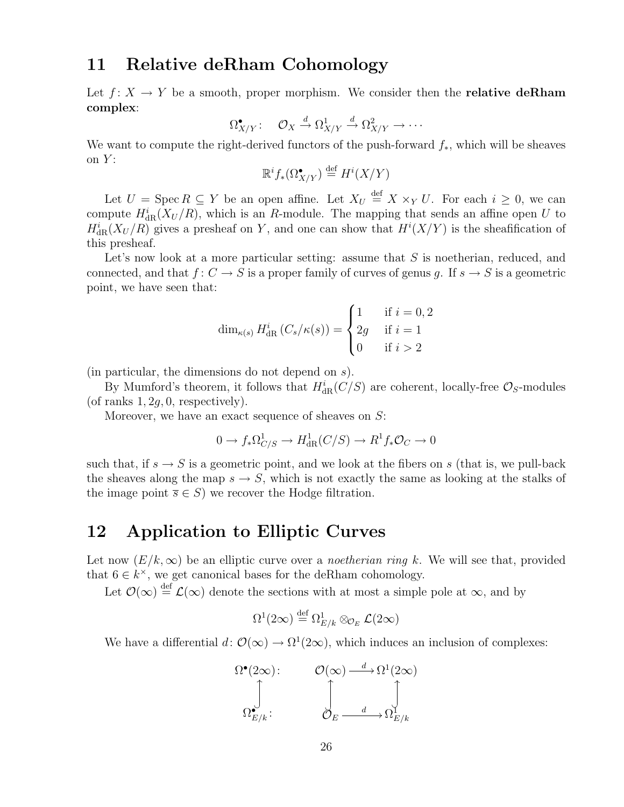## 11 Relative deRham Cohomology

Let  $f: X \to Y$  be a smooth, proper morphism. We consider then the **relative deRham** complex:

$$
\Omega^{\bullet}_{X/Y}: \quad \mathcal{O}_X \xrightarrow{d} \Omega^1_{X/Y} \xrightarrow{d} \Omega^2_{X/Y} \to \cdots
$$

We want to compute the right-derived functors of the push-forward  $f_*$ , which will be sheaves on  $Y$ :

$$
\mathbb{R}^i f_*(\Omega_{X/Y}^{\bullet}) \stackrel{\text{def}}{=} H^i(X/Y)
$$

Let  $U = \operatorname{Spec} R \subseteq Y$  be an open affine. Let  $X_U \stackrel{\text{def}}{=} X \times_Y U$ . For each  $i \geq 0$ , we can compute  $H^i_{\text{dR}}(X_U/R)$ , which is an R-module. The mapping that sends an affine open U to  $H^i_{\text{dR}}(X_U/R)$  gives a presheaf on Y, and one can show that  $H^i(X/Y)$  is the sheafification of this presheaf.

Let's now look at a more particular setting: assume that  $S$  is noetherian, reduced, and connected, and that  $f: C \to S$  is a proper family of curves of genus g. If  $s \to S$  is a geometric point, we have seen that:

$$
\dim_{\kappa(s)} H_{\text{dR}}^i(C_s/\kappa(s)) = \begin{cases} 1 & \text{if } i = 0, 2 \\ 2g & \text{if } i = 1 \\ 0 & \text{if } i > 2 \end{cases}
$$

(in particular, the dimensions do not depend on s).

By Mumford's theorem, it follows that  $H_{\text{dR}}^i(C/S)$  are coherent, locally-free  $\mathcal{O}_S$ -modules (of ranks  $1, 2q, 0$ , respectively).

Moreover, we have an exact sequence of sheaves on S:

$$
0 \to f_*\Omega^1_{C/S} \to H^1_{\text{dR}}(C/S) \to R^1 f_* \mathcal{O}_C \to 0
$$

such that, if  $s \to S$  is a geometric point, and we look at the fibers on s (that is, we pull-back the sheaves along the map  $s \to S$ , which is not exactly the same as looking at the stalks of the image point  $\overline{s} \in S$ ) we recover the Hodge filtration.

### 12 Application to Elliptic Curves

Let now  $(E/k,\infty)$  be an elliptic curve over a *noetherian ring k*. We will see that, provided that  $6 \in k^{\times}$ , we get canonical bases for the deRham cohomology.

Let  $\mathcal{O}(\infty) \stackrel{\text{def}}{=} \mathcal{L}(\infty)$  denote the sections with at most a simple pole at  $\infty$ , and by

$$
\Omega^1(2\infty) \stackrel{\text{def}}{=} \Omega^1_{E/k} \otimes_{\mathcal{O}_E} \mathcal{L}(2\infty)
$$

We have a differential  $d: \mathcal{O}(\infty) \to \Omega^1(2\infty)$ , which induces an inclusion of complexes:

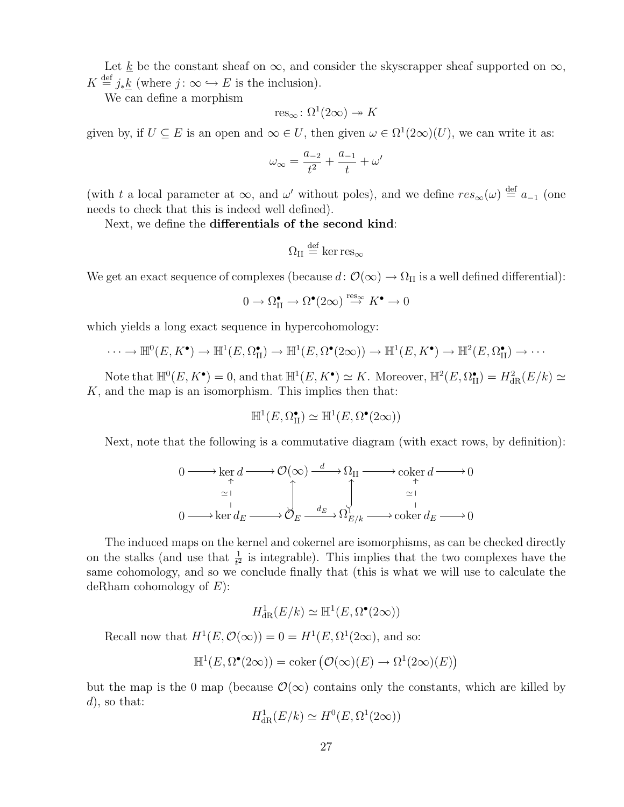Let <u>k</u> be the constant sheaf on  $\infty$ , and consider the skyscrapper sheaf supported on  $\infty$ ,  $K \stackrel{\text{def}}{=} j_*\underline{k}$  (where  $j: \infty \hookrightarrow E$  is the inclusion).

We can define a morphism

$$
res_{\infty} \colon \Omega^1(2\infty) \to K
$$

given by, if  $U \subseteq E$  is an open and  $\infty \in U$ , then given  $\omega \in \Omega^1(2\infty)(U)$ , we can write it as:

$$
\omega_{\infty} = \frac{a_{-2}}{t^2} + \frac{a_{-1}}{t} + \omega'
$$

(with t a local parameter at  $\infty$ , and  $\omega'$  without poles), and we define  $res_{\infty}(\omega) \stackrel{\text{def}}{=} a_{-1}$  (one needs to check that this is indeed well defined).

Next, we define the differentials of the second kind:

$$
\Omega_{II} \stackrel{\rm def}{=} \ker {\rm res}_\infty
$$

We get an exact sequence of complexes (because  $d: \mathcal{O}(\infty) \to \Omega_{II}$  is a well defined differential):

$$
0 \to \Omega^\bullet_\mathrm{II} \to \Omega^\bullet(2\infty) \overset{\text{res}_\infty}{\to} K^\bullet \to 0
$$

which yields a long exact sequence in hypercohomology:

$$
\cdots \to \mathbb{H}^0(E, K^{\bullet}) \to \mathbb{H}^1(E, \Omega_{\Pi}^{\bullet}) \to \mathbb{H}^1(E, \Omega^{\bullet}(2\infty)) \to \mathbb{H}^1(E, K^{\bullet}) \to \mathbb{H}^2(E, \Omega_{\Pi}^{\bullet}) \to \cdots
$$

Note that  $\mathbb{H}^0(E, K^{\bullet}) = 0$ , and that  $\mathbb{H}^1(E, K^{\bullet}) \simeq K$ . Moreover,  $\mathbb{H}^2(E, \Omega_{\text{II}}^{\bullet}) = H_{\text{dR}}^2(E/k) \simeq$  $K$ , and the map is an isomorphism. This implies then that:

$$
\mathbb{H}^1(E, \Omega_{\mathcal{H}}^{\bullet}) \simeq \mathbb{H}^1(E, \Omega^{\bullet}(2\infty))
$$

Next, note that the following is a commutative diagram (with exact rows, by definition):

$$
0 \longrightarrow \ker d \longrightarrow \mathcal{O}(\infty) \xrightarrow{d} \Omega_{II} \longrightarrow \operatorname{coker} d \longrightarrow 0
$$
  
\n
$$
\xrightarrow{\sim} \operatorname{coker} d_E \longrightarrow \bigcup_{d_E} \bigcup_{d_E} \bigcup_{d_E} \longrightarrow \operatorname{coker} d_E \longrightarrow 0
$$
  
\n
$$
0 \longrightarrow \ker d_E \longrightarrow \mathcal{O}_E \xrightarrow{d_E} \Omega_{E/k}^1 \longrightarrow \operatorname{coker} d_E \longrightarrow 0
$$

The induced maps on the kernel and cokernel are isomorphisms, as can be checked directly on the stalks (and use that  $\frac{1}{t^2}$  is integrable). This implies that the two complexes have the same cohomology, and so we conclude finally that (this is what we will use to calculate the deRham cohomology of  $E$ ):

$$
H^1_{\rm dR}(E/k)\simeq \mathbb{H}^1(E,\Omega^\bullet(2\infty))
$$

Recall now that  $H^1(E, \mathcal{O}(\infty)) = 0 = H^1(E, \Omega^1(2\infty))$ , and so:

$$
\mathbb{H}^1(E, \Omega^\bullet(2\infty)) = \mathrm{coker}\left(\mathcal{O}(\infty)(E) \to \Omega^1(2\infty)(E)\right)
$$

but the map is the 0 map (because  $\mathcal{O}(\infty)$  contains only the constants, which are killed by  $d$ , so that:

$$
H^1_{\rm dR}(E/k) \simeq H^0(E, \Omega^1(2\infty))
$$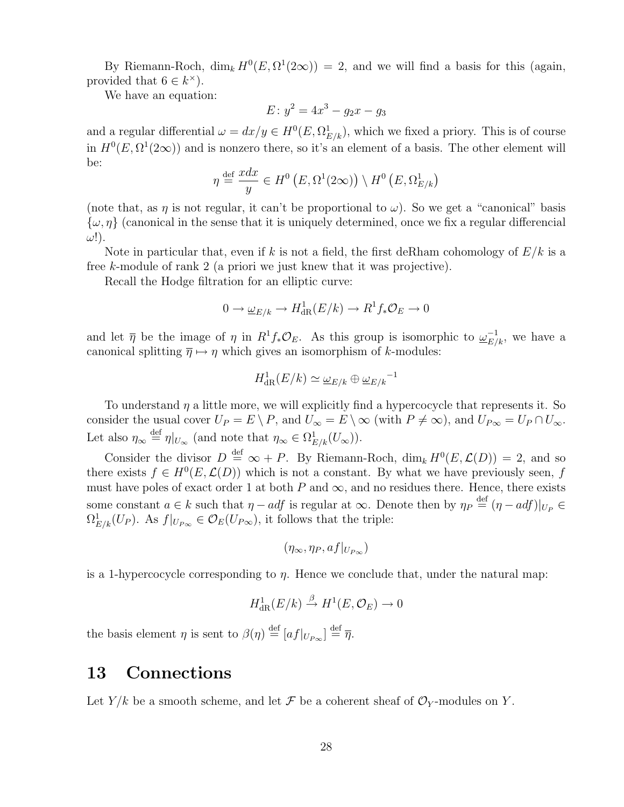By Riemann-Roch,  $\dim_k H^0(E, \Omega^1(2\infty)) = 2$ , and we will find a basis for this (again, provided that  $6 \in k^{\times}$ ).

We have an equation:

$$
E: y^2 = 4x^3 - g_2x - g_3
$$

and a regular differential  $\omega = dx/y \in H^0(E, \Omega^1_{E/k})$ , which we fixed a priory. This is of course in  $H^0(E, \Omega^1(2\infty))$  and is nonzero there, so it's an element of a basis. The other element will be:

$$
\eta \stackrel{\text{def}}{=} \frac{xdx}{y} \in H^0(E, \Omega^1(2\infty)) \setminus H^0(E, \Omega^1_{E/k})
$$

(note that, as  $\eta$  is not regular, it can't be proportional to  $\omega$ ). So we get a "canonical" basis  $\{\omega, \eta\}$  (canonical in the sense that it is uniquely determined, once we fix a regular differencial  $\omega$ !).

Note in particular that, even if k is not a field, the first deRham cohomology of  $E/k$  is a free k-module of rank 2 (a priori we just knew that it was projective).

Recall the Hodge filtration for an elliptic curve:

$$
0 \to \underline{\omega}_{E/k} \to H^1_{\mathrm{dR}}(E/k) \to R^1 f_* \mathcal{O}_E \to 0
$$

and let  $\bar{\eta}$  be the image of  $\eta$  in  $R^1f_*\mathcal{O}_E$ . As this group is isomorphic to  $\underline{\omega}_{E/k}^{-1}$ , we have a canonical splitting  $\overline{\eta} \mapsto \eta$  which gives an isomorphism of k-modules:

$$
H^1_{\rm dR}(E/k)\simeq \underline{\omega}_{E/k}\oplus \underline{\omega}_{E/k}^{-1}
$$

To understand  $\eta$  a little more, we will explicitly find a hypercocycle that represents it. So consider the usual cover  $U_P = E \setminus P$ , and  $U_{\infty} = E \setminus \infty$  (with  $P \neq \infty$ ), and  $U_{P\infty} = U_P \cap U_{\infty}$ . Let also  $\eta_{\infty} \stackrel{\text{def}}{=} \eta|_{U_{\infty}}$  (and note that  $\eta_{\infty} \in \Omega^1_{E/k}(U_{\infty})$ ).

Consider the divisor  $D \stackrel{\text{def}}{=} \infty + P$ . By Riemann-Roch,  $\dim_k H^0(E, \mathcal{L}(D)) = 2$ , and so there exists  $f \in H^0(E, \mathcal{L}(D))$  which is not a constant. By what we have previously seen, f must have poles of exact order 1 at both  $P$  and  $\infty$ , and no residues there. Hence, there exists some constant  $a \in k$  such that  $\eta - adf$  is regular at  $\infty$ . Denote then by  $\eta_P \stackrel{\text{def}}{=} (\eta - adf)|_{U_P} \in$  $\Omega_{E/k}^1(U_P)$ . As  $f|_{U_{P\infty}} \in \mathcal{O}_E(U_{P\infty})$ , it follows that the triple:

$$
(\eta_{\infty}, \eta_P, af|_{U_{P_{\infty}}})
$$

is a 1-hypercocycle corresponding to  $\eta$ . Hence we conclude that, under the natural map:

$$
H^1_{\rm dR}(E/k) \stackrel{\beta}{\to} H^1(E, \mathcal{O}_E) \to 0
$$

the basis element  $\eta$  is sent to  $\beta(\eta) \stackrel{\text{def}}{=} [af|_{U_{P\infty}}] \stackrel{\text{def}}{=} \overline{\eta}$ .

### 13 Connections

Let  $Y/k$  be a smooth scheme, and let  $\mathcal F$  be a coherent sheaf of  $\mathcal O_Y$ -modules on Y.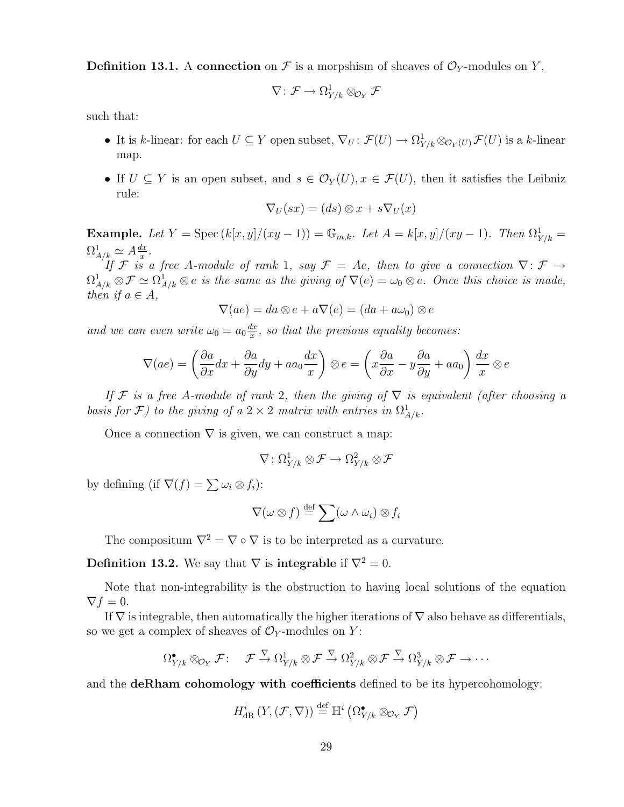**Definition 13.1.** A connection on  $\mathcal F$  is a morpshism of sheaves of  $\mathcal O_Y$ -modules on Y,

$$
\nabla\colon \mathcal{F} \to \Omega^1_{Y/k} \otimes_{\mathcal{O}_Y} \mathcal{F}
$$

such that:

- It is k-linear: for each  $U \subseteq Y$  open subset,  $\nabla_U : \mathcal{F}(U) \to \Omega^1_{Y/k} \otimes_{\mathcal{O}_Y(U)} \mathcal{F}(U)$  is a k-linear map.
- If  $U \subseteq Y$  is an open subset, and  $s \in \mathcal{O}_Y(U)$ ,  $x \in \mathcal{F}(U)$ , then it satisfies the Leibniz rule:

$$
\nabla_U(sx) = (ds) \otimes x + s\nabla_U(x)
$$

**Example.** Let  $Y = \text{Spec}(k[x, y]/(xy - 1)) = \mathbb{G}_{m,k}$ . Let  $A = k[x, y]/(xy - 1)$ . Then  $\Omega^1_{Y/k} =$  $\Omega^1_{A/k} \simeq A \frac{dx}{x}$  $\frac{dx}{x}$  .

If F is a free A-module of rank 1, say  $\mathcal{F} = Ae$ , then to give a connection  $\nabla: \mathcal{F} \rightarrow$  $\Omega^1_{A/k} \otimes \mathcal{F} \simeq \Omega^1_{A/k} \otimes e$  is the same as the giving of  $\nabla(e) = \omega_0 \otimes e$ . Once this choice is made, then if  $a \in A$ ,

$$
\nabla(ae) = da \otimes e + a\nabla(e) = (da + a\omega_0) \otimes e
$$

and we can even write  $\omega_0 = a_0 \frac{dx}{x}$  $\frac{dx}{dx}$ , so that the previous equality becomes:

$$
\nabla(ae) = \left(\frac{\partial a}{\partial x}dx + \frac{\partial a}{\partial y}dy + aa_0\frac{dx}{x}\right) \otimes e = \left(x\frac{\partial a}{\partial x} - y\frac{\partial a}{\partial y} + aa_0\right)\frac{dx}{x} \otimes e
$$

If F is a free A-module of rank 2, then the giving of  $\nabla$  is equivalent (after choosing a basis for F) to the giving of a  $2 \times 2$  matrix with entries in  $\Omega^1_{A/k}$ .

Once a connection  $\nabla$  is given, we can construct a map:

$$
\nabla\colon \Omega^1_{Y/k} \otimes \mathcal{F} \to \Omega^2_{Y/k} \otimes \mathcal{F}
$$

by defining (if  $\nabla(f) = \sum \omega_i \otimes f_i$ ):

$$
\nabla(\omega\otimes f) \stackrel{\text{def}}{=} \sum (\omega \wedge \omega_i) \otimes f_i
$$

The compositum  $\nabla^2 = \nabla \circ \nabla$  is to be interpreted as a curvature.

**Definition 13.2.** We say that  $\nabla$  is **integrable** if  $\nabla^2 = 0$ .

Note that non-integrability is the obstruction to having local solutions of the equation  $\nabla f = 0.$ 

If  $\nabla$  is integrable, then automatically the higher iterations of  $\nabla$  also behave as differentials, so we get a complex of sheaves of  $\mathcal{O}_Y$ -modules on Y:

$$
\Omega^{\bullet}_{Y/k} \otimes_{\mathcal{O}_Y} \mathcal{F}: \quad \mathcal{F} \stackrel{\nabla}{\to} \Omega^1_{Y/k} \otimes \mathcal{F} \stackrel{\nabla}{\to} \Omega^2_{Y/k} \otimes \mathcal{F} \stackrel{\nabla}{\to} \Omega^3_{Y/k} \otimes \mathcal{F} \to \cdots
$$

and the deRham cohomology with coefficients defined to be its hypercohomology:

$$
H_{\text{dR}}^i(Y,(\mathcal{F},\nabla)) \stackrel{\text{def}}{=} \mathbb{H}^i\left(\Omega^{\bullet}_{Y/k} \otimes_{\mathcal{O}_Y} \mathcal{F}\right)
$$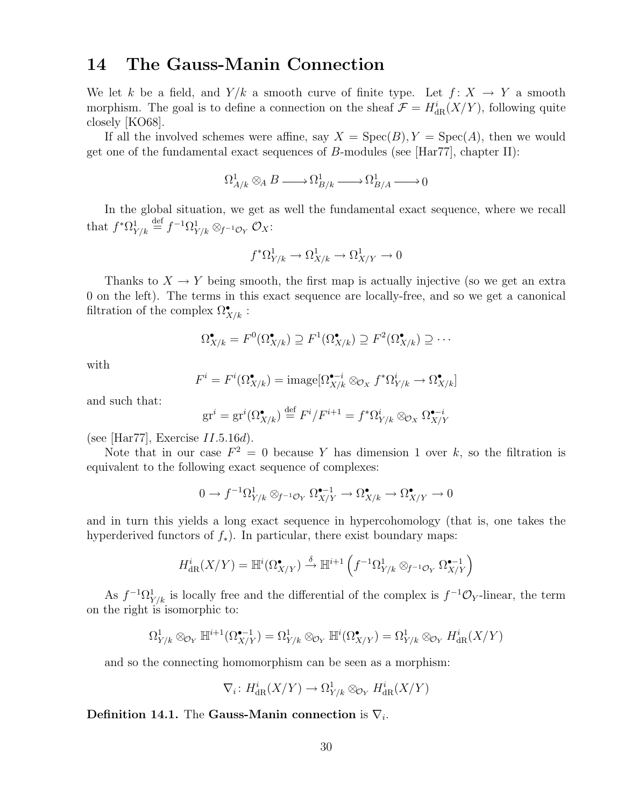# 14 The Gauss-Manin Connection

We let k be a field, and  $Y/k$  a smooth curve of finite type. Let  $f: X \to Y$  a smooth morphism. The goal is to define a connection on the sheaf  $\mathcal{F} = H^i_{dR}(X/Y)$ , following quite closely [KO68].

If all the involved schemes were affine, say  $X = \text{Spec}(B)$ ,  $Y = \text{Spec}(A)$ , then we would get one of the fundamental exact sequences of  $B$ -modules (see [Har77], chapter II):

 $\Omega^1_{A/k} \otimes_A B \longrightarrow \Omega^1_{B/k} \longrightarrow \Omega^1_{B/A} \longrightarrow 0$ 

In the global situation, we get as well the fundamental exact sequence, where we recall that  $f^*\Omega^1_{Y/k} \stackrel{\text{def}}{=} f^{-1}\Omega^1_{Y/k} \otimes_{f^{-1}\mathcal{O}_Y} \mathcal{O}_X$ :

$$
f^*\Omega^1_{Y/k} \to \Omega^1_{X/k} \to \Omega^1_{X/Y} \to 0
$$

Thanks to  $X \to Y$  being smooth, the first map is actually injective (so we get an extra 0 on the left). The terms in this exact sequence are locally-free, and so we get a canonical filtration of the complex  $\Omega^{\bullet}_{X/k}$ :

$$
\Omega^{\bullet}_{X/k} = F^0(\Omega^{\bullet}_{X/k}) \supseteq F^1(\Omega^{\bullet}_{X/k}) \supseteq F^2(\Omega^{\bullet}_{X/k}) \supseteq \cdots
$$

with

$$
F^i = F^i(\Omega_{X/k}^{\bullet}) = \text{image}[\Omega_{X/k}^{\bullet-i} \otimes_{\mathcal{O}_X} f^* \Omega_{Y/k}^i \to \Omega_{X/k}^{\bullet}]
$$

and such that:

$$
\operatorname{gr}^i = \operatorname{gr}^i(\Omega_{X/k}^{\bullet}) \stackrel{\text{def}}{=} F^i / F^{i+1} = f^* \Omega_{Y/k}^i \otimes_{\mathcal{O}_X} \Omega_{X/Y}^{\bullet - i}
$$

(see [Har77], Exercise  $II.5.16d$ ).

Note that in our case  $F^2 = 0$  because Y has dimension 1 over k, so the filtration is equivalent to the following exact sequence of complexes:

$$
0\to f^{-1}\Omega^1_{Y/k}\otimes_{f^{-1}\mathcal{O}_Y}\Omega^{\bullet-1}_{X/Y}\to \Omega^\bullet_{X/k}\to \Omega^\bullet_{X/Y}\to 0
$$

and in turn this yields a long exact sequence in hypercohomology (that is, one takes the hyperderived functors of  $f_*$ ). In particular, there exist boundary maps:

$$
H_{\text{dR}}^i(X/Y) = \mathbb{H}^i(\Omega_{X/Y}^{\bullet}) \stackrel{\delta}{\to} \mathbb{H}^{i+1}\left(f^{-1}\Omega_{Y/k}^1 \otimes_{f^{-1}\mathcal{O}_Y} \Omega_{X/Y}^{\bullet-1}\right)
$$

As  $f^{-1}\Omega^1_{Y/k}$  is locally free and the differential of the complex is  $f^{-1}\mathcal{O}_Y$ -linear, the term on the right is isomorphic to:

$$
\Omega^1_{Y/k} \otimes_{\mathcal{O}_Y} \mathbb{H}^{i+1}(\Omega^{\bullet-1}_{X/Y}) = \Omega^1_{Y/k} \otimes_{\mathcal{O}_Y} \mathbb{H}^{i}(\Omega^{\bullet}_{X/Y}) = \Omega^1_{Y/k} \otimes_{\mathcal{O}_Y} H^i_{dR}(X/Y)
$$

and so the connecting homomorphism can be seen as a morphism:

$$
\nabla_i \colon H^i_{\text{dR}}(X/Y) \to \Omega^1_{Y/k} \otimes_{\mathcal{O}_Y} H^i_{\text{dR}}(X/Y)
$$

Definition 14.1. The Gauss-Manin connection is  $\nabla_i$ .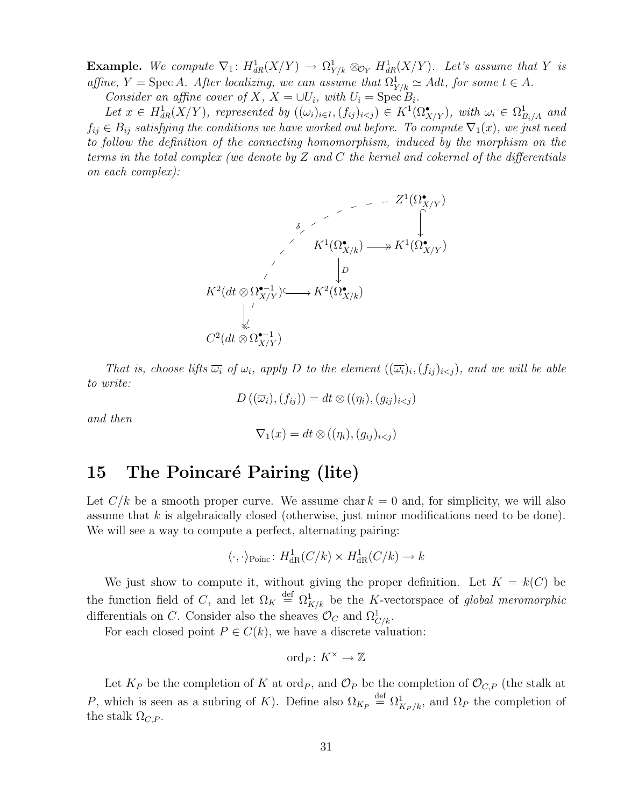**Example.** We compute  $\nabla_1$ :  $H^1_{dR}(X/Y) \to \Omega^1_{Y/k} \otimes_{\mathcal{O}_Y} H^1_{dR}(X/Y)$ . Let's assume that Y is affine,  $Y = \text{Spec } A$ . After localizing, we can assume that  $\Omega^1_{Y/k} \simeq A dt$ , for some  $t \in A$ .

Consider an affine cover of X,  $X = \bigcup U_i$ , with  $U_i = \text{Spec } B_i$ .

Let  $x \in H^1_{dR}(X/Y)$ , represented by  $((\omega_i)_{i \in I}, (f_{ij})_{i \leq j}) \in K^1(\Omega^{\bullet}_{X/Y})$ , with  $\omega_i \in \Omega^1_{B_i/A}$  and  $f_{ij} \in B_{ij}$  satisfying the conditions we have worked out before. To compute  $\nabla_1(x)$ , we just need to follow the definition of the connecting homomorphism, induced by the morphism on the terms in the total complex (we denote by  $Z$  and  $C$  the kernel and cokernel of the differentials on each complex):

$$
K^1(\Omega_{X/Y}^{\bullet})
$$
\n
$$
K^1(\Omega_{X/k}^{\bullet}) \longrightarrow K^1(\Omega_{X/Y}^{\bullet})
$$
\n
$$
K^2(dt \otimes \Omega_{X/Y}^{\bullet-1}) \longrightarrow K^2(\Omega_{X/k}^{\bullet})
$$
\n
$$
\downarrow
$$
\n
$$
C^2(dt \otimes \Omega_{X/Y}^{\bullet-1})
$$

That is, choose lifts  $\overline{\omega_i}$  of  $\omega_i$ , apply D to the element  $((\overline{\omega_i})_i, (f_{ij})_{i\leq j})$ , and we will be able to write:

$$
D\left((\overline{\omega}_i),(f_{ij})\right)=dt\otimes ((\eta_i),(g_{ij})_{i
$$

and then

$$
\nabla_1(x) = dt \otimes ((\eta_i), (g_{ij})_{i < j})
$$

### 15 The Poincaré Pairing (lite)

Let  $C/k$  be a smooth proper curve. We assume char  $k = 0$  and, for simplicity, we will also assume that  $k$  is algebraically closed (otherwise, just minor modifications need to be done). We will see a way to compute a perfect, alternating pairing:

$$
\langle \cdot, \cdot \rangle_{\text{Poinc}} \colon H^1_{\text{dR}}(C/k) \times H^1_{\text{dR}}(C/k) \to k
$$

We just show to compute it, without giving the proper definition. Let  $K = k(C)$  be the function field of C, and let  $\Omega_K \stackrel{\text{def}}{=} \Omega^1_{K/k}$  be the K-vectorspace of global meromorphic differentials on C. Consider also the sheaves  $\mathcal{O}_C$  and  $\Omega_{C/k}^1$ .

For each closed point  $P \in C(k)$ , we have a discrete valuation:

$$
\mathrm{ord}_P\colon K^\times\to\mathbb{Z}
$$

Let  $K_P$  be the completion of K at ord<sub>P</sub>, and  $\mathcal{O}_P$  be the completion of  $\mathcal{O}_{C,P}$  (the stalk at P, which is seen as a subring of K). Define also  $\Omega_{K_P} \stackrel{\text{def}}{=} \Omega_{K_P/k}^1$ , and  $\Omega_P$  the completion of the stalk  $\Omega_{C,P}$ .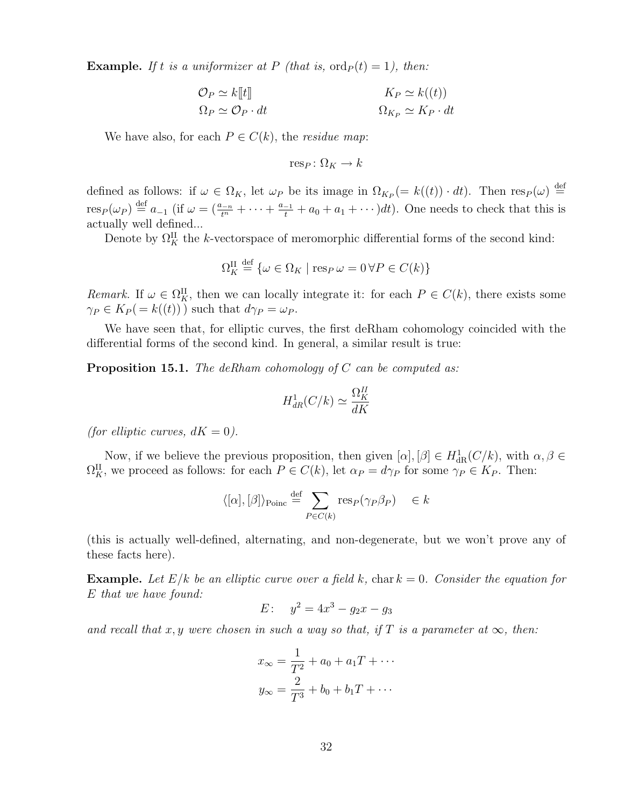**Example.** If t is a uniformizer at P (that is,  $\text{ord}_P(t) = 1$ ), then:

$$
\mathcal{O}_P \simeq k[[t]] \qquad \qquad K_P \simeq k((t))
$$

$$
\Omega_P \simeq \mathcal{O}_P \cdot dt \qquad \qquad \Omega_{K_P} \simeq K_P \cdot dt
$$

We have also, for each  $P \in C(k)$ , the *residue map*:

res<sub>P</sub>:  $\Omega_K \rightarrow k$ 

defined as follows: if  $\omega \in \Omega_K$ , let  $\omega_P$  be its image in  $\Omega_{K_P} (= k((t)) \cdot dt)$ . Then  $\text{res}_P(\omega) \stackrel{\text{def}}{=}$  $res_P(\omega_P) \stackrel{\text{def}}{=} a_{-1}$  (if  $\omega = (\frac{a_{-n}}{t^n} + \cdots + \frac{a_{-1}}{t} + a_0 + a_1 + \cdots) dt$ ). One needs to check that this is actually well defined...

Denote by  $\Omega_K^{\text{II}}$  the k-vectorspace of meromorphic differential forms of the second kind:

$$
\Omega_K^{\text{II}} \stackrel{\text{def}}{=} \{ \omega \in \Omega_K \mid \text{resp } \omega = 0 \,\forall P \in C(k) \}
$$

Remark. If  $\omega \in \Omega_K^{\mathcal{H}}$ , then we can locally integrate it: for each  $P \in C(k)$ , there exists some  $\gamma_P \in K_P(=k((t)))$  such that  $d\gamma_P = \omega_P$ .

We have seen that, for elliptic curves, the first deRham cohomology coincided with the differential forms of the second kind. In general, a similar result is true:

**Proposition 15.1.** The deRham cohomology of C can be computed as:

$$
H_{dR}^1(C/k) \simeq \frac{\Omega_K^{II}}{dK}
$$

(for elliptic curves,  $dK = 0$ ).

Now, if we believe the previous proposition, then given  $[\alpha], [\beta] \in H^1_{\text{dR}}(C/k)$ , with  $\alpha, \beta \in$  $\Omega_K^{\text{II}}$ , we proceed as follows: for each  $P \in C(k)$ , let  $\alpha_P = d\gamma_P$  for some  $\gamma_P \in K_P$ . Then:

$$
\langle [\alpha], [\beta] \rangle_{\text{Poinc}} \stackrel{\text{def}}{=} \sum_{P \in C(k)} \text{res}_P(\gamma_P \beta_P) \in k
$$

(this is actually well-defined, alternating, and non-degenerate, but we won't prove any of these facts here).

**Example.** Let  $E/k$  be an elliptic curve over a field k, char  $k = 0$ . Consider the equation for E that we have found:

$$
E: \quad y^2 = 4x^3 - g_2x - g_3
$$

and recall that x, y were chosen in such a way so that, if T is a parameter at  $\infty$ , then:

$$
x_{\infty} = \frac{1}{T^2} + a_0 + a_1 T + \cdots
$$

$$
y_{\infty} = \frac{2}{T^3} + b_0 + b_1 T + \cdots
$$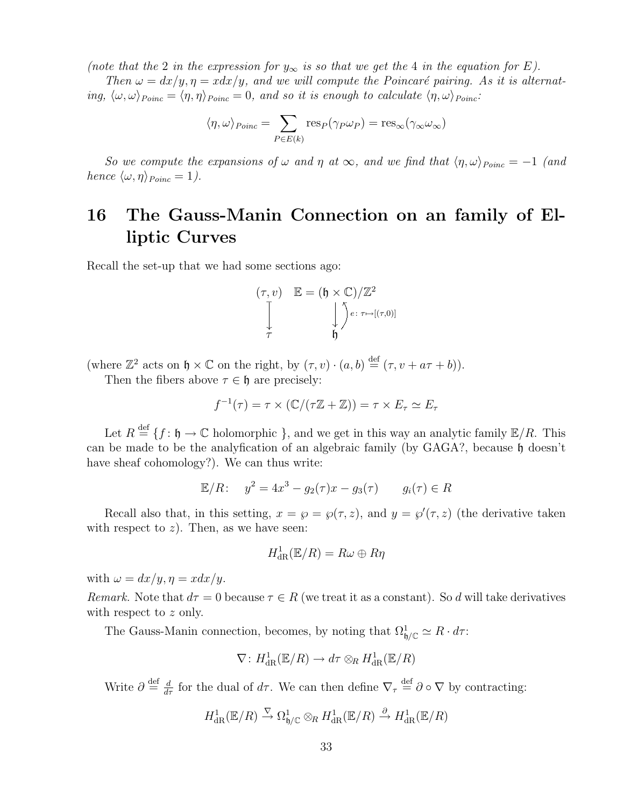(note that the 2 in the expression for  $y_{\infty}$  is so that we get the 4 in the equation for E).

Then  $\omega = dx/y, \eta = x dx/y$ , and we will compute the Poincaré pairing. As it is alternating,  $\langle \omega, \omega \rangle_{Poinc} = \langle \eta, \eta \rangle_{Poinc} = 0$ , and so it is enough to calculate  $\langle \eta, \omega \rangle_{Poinc}$ :

$$
\langle \eta, \omega \rangle_{Poinc} = \sum_{P \in E(k)} \text{res}_P(\gamma_P \omega_P) = \text{res}_{\infty}(\gamma_{\infty} \omega_{\infty})
$$

So we compute the expansions of  $\omega$  and  $\eta$  at  $\infty$ , and we find that  $\langle \eta, \omega \rangle_{Poinc} = -1$  (and hence  $\langle \omega, \eta \rangle_{Poinc} = 1$ ).

# 16 The Gauss-Manin Connection on an family of Elliptic Curves

Recall the set-up that we had some sections ago:

$$
(\tau, v) \quad \mathbb{E} = (\mathfrak{h} \times \mathbb{C})/\mathbb{Z}^2
$$

$$
\int_{\tau}^{\mathbb{T}} \qquad \qquad \int_{\mathfrak{h}}^{\mathfrak{H}} e: \tau \mapsto [(\tau, 0)]
$$

(where  $\mathbb{Z}^2$  acts on  $\mathfrak{h} \times \mathbb{C}$  on the right, by  $(\tau, v) \cdot (a, b) \stackrel{\text{def}}{=} (\tau, v + a\tau + b)$ ).

Then the fibers above  $\tau \in \mathfrak{h}$  are precisely:

$$
f^{-1}(\tau) = \tau \times (\mathbb{C}/(\tau \mathbb{Z} + \mathbb{Z})) = \tau \times E_{\tau} \simeq E_{\tau}
$$

Let  $R \stackrel{\text{def}}{=} \{f : \mathfrak{h} \to \mathbb{C} \text{ holomorphic } \}$ , and we get in this way an analytic family  $\mathbb{E}/R$ . This can be made to be the analyfication of an algebraic family (by  $GAGA$ ?, because h doesn't have sheaf cohomology?). We can thus write:

$$
\mathbb{E}/R: \quad y^2 = 4x^3 - g_2(\tau)x - g_3(\tau) \qquad g_i(\tau) \in R
$$

Recall also that, in this setting,  $x = \wp = \wp(\tau, z)$ , and  $y = \wp'(\tau, z)$  (the derivative taken with respect to  $z$ ). Then, as we have seen:

$$
H^1_{\rm dR}(\mathbb{E}/R)=R\omega\oplus R\eta
$$

with  $\omega = dx/y$ ,  $\eta = x dx/y$ .

Remark. Note that  $d\tau = 0$  because  $\tau \in R$  (we treat it as a constant). So d will take derivatives with respect to z only.

The Gauss-Manin connection, becomes, by noting that  $\Omega_{\mathfrak{h}/\mathbb{C}}^1 \simeq R \cdot d\tau$ :

$$
\nabla: H^1_{\mathrm{dR}}(\mathbb{E}/R) \to d\tau \otimes_R H^1_{\mathrm{dR}}(\mathbb{E}/R)
$$

Write  $\partial \stackrel{\text{def}}{=} \frac{d}{d\tau}$  for the dual of  $d\tau$ . We can then define  $\nabla_{\tau} \stackrel{\text{def}}{=} \partial \circ \nabla$  by contracting:

$$
H^1_{\rm dR}(\mathbb{E}/R) \xrightarrow{\nabla} \Omega^1_{\mathfrak{h}/\mathbb{C}} \otimes_R H^1_{\rm dR}(\mathbb{E}/R) \xrightarrow{\partial} H^1_{\rm dR}(\mathbb{E}/R)
$$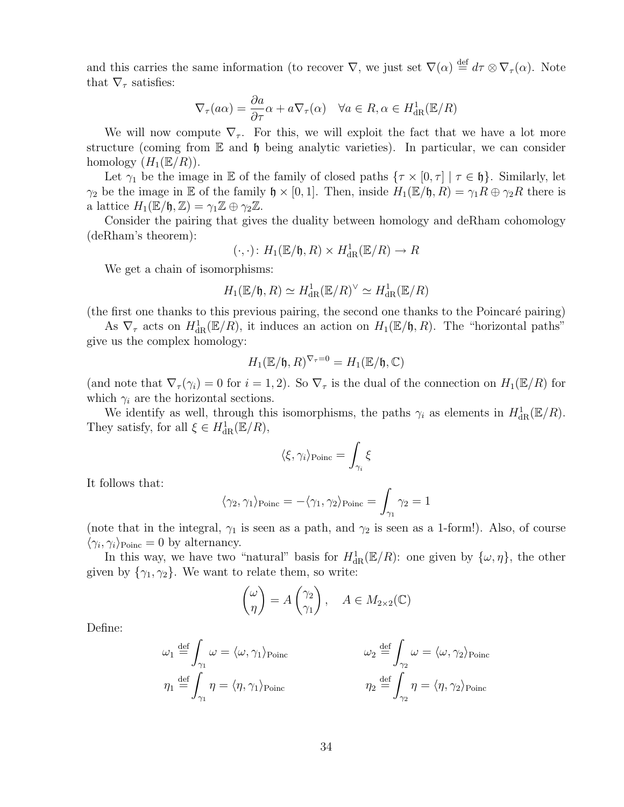and this carries the same information (to recover  $\nabla$ , we just set  $\nabla(\alpha) \stackrel{\text{def}}{=} d\tau \otimes \nabla_{\tau}(\alpha)$ . Note that  $\nabla_{\tau}$  satisfies:

$$
\nabla_{\tau}(a\alpha) = \frac{\partial a}{\partial \tau}\alpha + a\nabla_{\tau}(\alpha) \quad \forall a \in R, \alpha \in H_{\text{dR}}^1(\mathbb{E}/R)
$$

We will now compute  $\nabla_{\tau}$ . For this, we will exploit the fact that we have a lot more structure (coming from  $\mathbb E$  and  $\mathfrak h$  being analytic varieties). In particular, we can consider homology  $(H_1(\mathbb{E}/R)).$ 

Let  $\gamma_1$  be the image in E of the family of closed paths  $\{\tau \times [0, \tau] \mid \tau \in \mathfrak{h}\}\)$ . Similarly, let  $\gamma_2$  be the image in E of the family  $\mathfrak{h} \times [0,1]$ . Then, inside  $H_1(\mathbb{E}/\mathfrak{h}, R) = \gamma_1 R \oplus \gamma_2 R$  there is a lattice  $H_1(\mathbb{E}/\mathfrak{h}, \mathbb{Z}) = \gamma_1 \mathbb{Z} \oplus \gamma_2 \mathbb{Z}$ .

Consider the pairing that gives the duality between homology and deRham cohomology (deRham's theorem):

$$
(\cdot, \cdot) \colon H_1(\mathbb{E}/\mathfrak{h}, R) \times H^1_{\text{dR}}(\mathbb{E}/R) \to R
$$

We get a chain of isomorphisms:

$$
H_1(\mathbb{E}/\mathfrak{h},R)\simeq H^1_{\mathrm{dR}}(\mathbb{E}/R)^\vee\simeq H^1_{\mathrm{dR}}(\mathbb{E}/R)
$$

(the first one thanks to this previous pairing, the second one thanks to the Poincaré pairing)

As  $\nabla_{\tau}$  acts on  $H_{dR}^1(\mathbb{E}/R)$ , it induces an action on  $H_1(\mathbb{E}/\mathfrak{h}, R)$ . The "horizontal paths" give us the complex homology:

$$
H_1(\mathbb{E}/\mathfrak{h},R)^{\nabla_{\tau}=0}=H_1(\mathbb{E}/\mathfrak{h},\mathbb{C})
$$

(and note that  $\nabla_{\tau}(\gamma_i) = 0$  for  $i = 1, 2$ ). So  $\nabla_{\tau}$  is the dual of the connection on  $H_1(\mathbb{E}/R)$  for which  $\gamma_i$  are the horizontal sections.

We identify as well, through this isomorphisms, the paths  $\gamma_i$  as elements in  $H^1_{\text{dR}}(\mathbb{E}/R)$ . They satisfy, for all  $\xi \in H^1_{\text{dR}}(\mathbb{E}/R)$ ,

$$
\langle \xi, \gamma_i \rangle_{\text{Poinc}} = \int_{\gamma_i} \xi
$$

It follows that:

$$
\langle \gamma_2, \gamma_1 \rangle_{\text{Poinc}} = -\langle \gamma_1, \gamma_2 \rangle_{\text{Poinc}} = \int_{\gamma_1} \gamma_2 = 1
$$

(note that in the integral,  $\gamma_1$  is seen as a path, and  $\gamma_2$  is seen as a 1-form!). Also, of course  $\langle \gamma_i, \gamma_i \rangle_{\text{Poinc}} = 0$  by alternancy.

In this way, we have two "natural" basis for  $H^1_{\text{dR}}(\mathbb{E}/R)$ : one given by  $\{\omega,\eta\}$ , the other given by  $\{\gamma_1, \gamma_2\}$ . We want to relate them, so write:

$$
\begin{pmatrix} \omega \\ \eta \end{pmatrix} = A \begin{pmatrix} \gamma_2 \\ \gamma_1 \end{pmatrix}, \quad A \in M_{2 \times 2}(\mathbb{C})
$$

Define:

$$
\omega_1 \stackrel{\text{def}}{=} \int_{\gamma_1} \omega = \langle \omega, \gamma_1 \rangle_{\text{Poinc}}
$$
  

$$
\omega_2 \stackrel{\text{def}}{=} \int_{\gamma_2} \omega = \langle \omega, \gamma_2 \rangle_{\text{Poinc}}
$$
  

$$
\eta_1 \stackrel{\text{def}}{=} \int_{\gamma_1} \eta = \langle \eta, \gamma_1 \rangle_{\text{Poinc}}
$$
  

$$
\eta_2 \stackrel{\text{def}}{=} \int_{\gamma_2} \eta = \langle \eta, \gamma_2 \rangle_{\text{Poinc}}
$$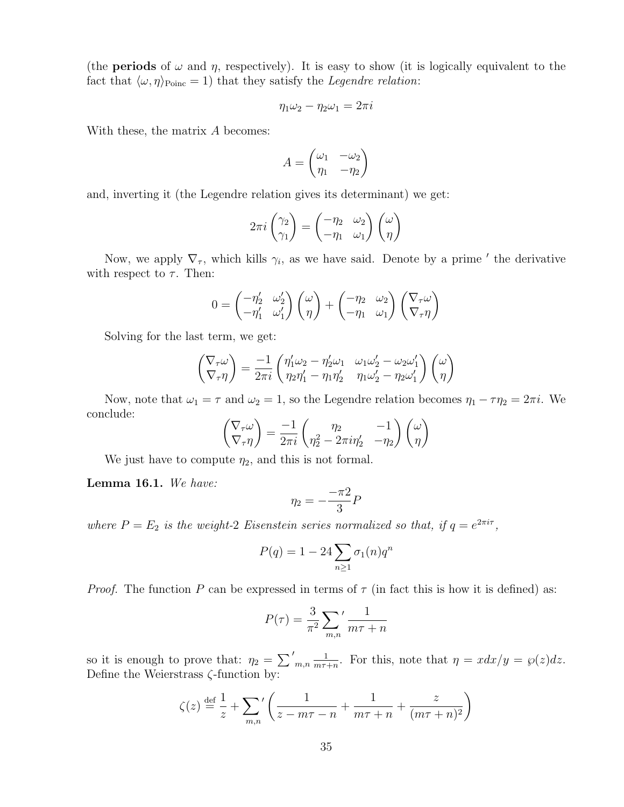(the **periods** of  $\omega$  and  $\eta$ , respectively). It is easy to show (it is logically equivalent to the fact that  $\langle \omega, \eta \rangle_{\text{Poinc}} = 1$ ) that they satisfy the *Legendre relation*:

$$
\eta_1 \omega_2 - \eta_2 \omega_1 = 2\pi i
$$

With these, the matrix A becomes:

$$
A = \begin{pmatrix} \omega_1 & -\omega_2 \\ \eta_1 & -\eta_2 \end{pmatrix}
$$

and, inverting it (the Legendre relation gives its determinant) we get:

$$
2\pi i \begin{pmatrix} \gamma_2 \\ \gamma_1 \end{pmatrix} = \begin{pmatrix} -\eta_2 & \omega_2 \\ -\eta_1 & \omega_1 \end{pmatrix} \begin{pmatrix} \omega \\ \eta \end{pmatrix}
$$

Now, we apply  $\nabla_{\tau}$ , which kills  $\gamma_i$ , as we have said. Denote by a prime ' the derivative with respect to  $\tau$ . Then:

$$
0 = \begin{pmatrix} -\eta_2' & \omega_2' \\ -\eta_1' & \omega_1' \end{pmatrix} \begin{pmatrix} \omega \\ \eta \end{pmatrix} + \begin{pmatrix} -\eta_2 & \omega_2 \\ -\eta_1 & \omega_1 \end{pmatrix} \begin{pmatrix} \nabla_\tau \omega \\ \nabla_\tau \eta \end{pmatrix}
$$

Solving for the last term, we get:

$$
\begin{pmatrix} \nabla_{\tau}\omega \\ \nabla_{\tau}\eta \end{pmatrix} = \frac{-1}{2\pi i} \begin{pmatrix} \eta'_1\omega_2 - \eta'_2\omega_1 & \omega_1\omega'_2 - \omega_2\omega'_1 \\ \eta_2\eta'_1 - \eta_1\eta'_2 & \eta_1\omega'_2 - \eta_2\omega'_1 \end{pmatrix} \begin{pmatrix} \omega \\ \eta \end{pmatrix}
$$

Now, note that  $\omega_1 = \tau$  and  $\omega_2 = 1$ , so the Legendre relation becomes  $\eta_1 - \tau \eta_2 = 2\pi i$ . We conclude:

$$
\begin{pmatrix} \nabla_{\tau}\omega \\ \nabla_{\tau}\eta \end{pmatrix} = \frac{-1}{2\pi i} \begin{pmatrix} \eta_2 & -1 \\ \eta_2^2 - 2\pi i \eta_2' & -\eta_2 \end{pmatrix} \begin{pmatrix} \omega \\ \eta \end{pmatrix}
$$

We just have to compute  $\eta_2$ , and this is not formal.

Lemma 16.1. We have:

$$
\eta_2 = -\frac{-\pi 2}{3}P
$$

where  $P = E_2$  is the weight-2 Eisenstein series normalized so that, if  $q = e^{2\pi i \tau}$ ,

$$
P(q) = 1 - 24 \sum_{n \ge 1} \sigma_1(n) q^n
$$

*Proof.* The function P can be expressed in terms of  $\tau$  (in fact this is how it is defined) as:

$$
P(\tau) = \frac{3}{\pi^2} \sum_{m,n'} \frac{1}{m\tau + n}
$$

so it is enough to prove that:  $\eta_2 = \sum'_{m,n}$ 1  $\frac{1}{m\tau+n}$ . For this, note that  $\eta = x dx/y = \wp(z) dz$ . Define the Weierstrass  $\zeta$ -function by:

$$
\zeta(z) \stackrel{\text{def}}{=} \frac{1}{z} + \sum_{m,n} \left( \frac{1}{z - m\tau - n} + \frac{1}{m\tau + n} + \frac{z}{(m\tau + n)^2} \right)
$$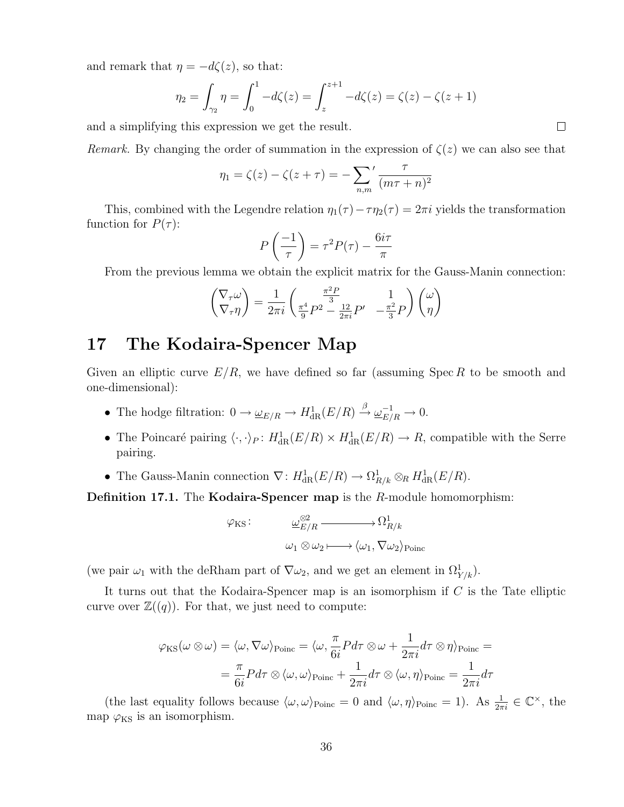and remark that  $\eta = -d\zeta(z)$ , so that:

$$
\eta_2 = \int_{\gamma_2} \eta = \int_0^1 -d\zeta(z) = \int_z^{z+1} -d\zeta(z) = \zeta(z) - \zeta(z+1)
$$

and a simplifying this expression we get the result.

Remark. By changing the order of summation in the expression of  $\zeta(z)$  we can also see that

$$
\eta_1 = \zeta(z) - \zeta(z + \tau) = -\sum_{n,m'}' \frac{\tau}{(m\tau + n)^2}
$$

This, combined with the Legendre relation  $\eta_1(\tau) - \tau \eta_2(\tau) = 2\pi i$  yields the transformation function for  $P(\tau)$ :

$$
P\left(\frac{-1}{\tau}\right) = \tau^2 P(\tau) - \frac{6i\tau}{\pi}
$$

From the previous lemma we obtain the explicit matrix for the Gauss-Manin connection:

$$
\begin{pmatrix} \nabla_{\tau} \omega \\ \nabla_{\tau} \eta \end{pmatrix} = \frac{1}{2\pi i} \begin{pmatrix} \frac{\pi^2 P}{3} & 1 \\ \frac{\pi^4}{9} P^2 - \frac{12}{2\pi i} P' & -\frac{\pi^2}{3} P \end{pmatrix} \begin{pmatrix} \omega \\ \eta \end{pmatrix}
$$

### 17 The Kodaira-Spencer Map

Given an elliptic curve  $E/R$ , we have defined so far (assuming Spec R to be smooth and one-dimensional):

- The hodge filtration:  $0 \to \underline{\omega}_{E/R} \to H^1_{\text{dR}}(E/R) \stackrel{\beta}{\to} \underline{\omega}_{E/R}^{-1} \to 0.$
- The Poincaré pairing  $\langle \cdot, \cdot \rangle_P : H^1_{dR}(E/R) \times H^1_{dR}(E/R) \to R$ , compatible with the Serre pairing.
- The Gauss-Manin connection  $\nabla: H^1_{\text{dR}}(E/R) \to \Omega^1_{R/k} \otimes_R H^1_{\text{dR}}(E/R)$ .

**Definition 17.1.** The **Kodaira-Spencer map** is the R-module homomorphism:

$$
\varphi_{\rm KS}: \qquad \qquad \underline{\omega}_{E/R}^{\otimes 2} \xrightarrow{\qquad} \Omega_{R/k}^1
$$

$$
\omega_1 \otimes \omega_2 \longmapsto \langle \omega_1, \nabla \omega_2 \rangle_{\rm Poinc}
$$

(we pair  $\omega_1$  with the deRham part of  $\nabla \omega_2$ , and we get an element in  $\Omega^1_{Y/k}$ ).

It turns out that the Kodaira-Spencer map is an isomorphism if  $C$  is the Tate elliptic curve over  $\mathbb{Z}((q))$ . For that, we just need to compute:

$$
\varphi_{\rm KS}(\omega \otimes \omega) = \langle \omega, \nabla \omega \rangle_{\rm Poinc} = \langle \omega, \frac{\pi}{6i} P d\tau \otimes \omega + \frac{1}{2\pi i} d\tau \otimes \eta \rangle_{\rm Poinc} =
$$

$$
= \frac{\pi}{6i} P d\tau \otimes \langle \omega, \omega \rangle_{\rm Poinc} + \frac{1}{2\pi i} d\tau \otimes \langle \omega, \eta \rangle_{\rm Poinc} = \frac{1}{2\pi i} d\tau
$$

(the last equality follows because  $\langle \omega, \omega \rangle_{\text{Poinc}} = 0$  and  $\langle \omega, \eta \rangle_{\text{Poinc}} = 1$ ). As  $\frac{1}{2\pi i} \in \mathbb{C}^{\times}$ , the map  $\varphi_{\rm KS}$  is an isomorphism.

 $\Box$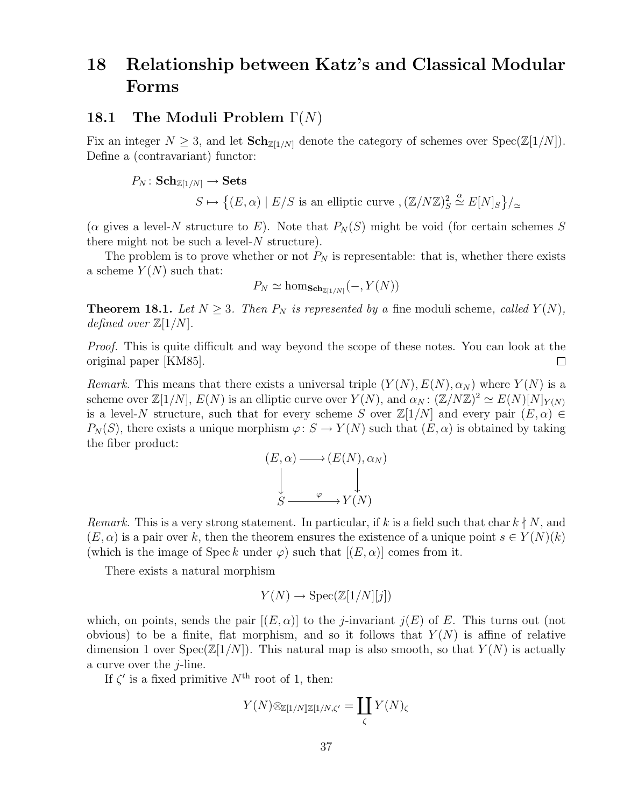# 18 Relationship between Katz's and Classical Modular Forms

#### 18.1 The Moduli Problem  $\Gamma(N)$

Fix an integer  $N \geq 3$ , and let  $\text{Sch}_{\mathbb{Z}[1/N]}$  denote the category of schemes over  $\text{Spec}(\mathbb{Z}[1/N])$ . Define a (contravariant) functor:

$$
P_N: \mathbf{Sch}_{\mathbb{Z}[1/N]} \to \mathbf{Sets}
$$
  

$$
S \mapsto \{(E, \alpha) \mid E/S \text{ is an elliptic curve }, (\mathbb{Z}/N\mathbb{Z})_S^2 \stackrel{\alpha}{\simeq} E[N]_S\}/_{\simeq}
$$

( $\alpha$  gives a level-N structure to E). Note that  $P_N(S)$  might be void (for certain schemes S there might not be such a level- $N$  structure).

The problem is to prove whether or not  $P_N$  is representable: that is, whether there exists a scheme  $Y(N)$  such that:

$$
P_N \simeq \hom_{\mathbf{Sch}_{\mathbb{Z}[1/N]}}(-, Y(N))
$$

**Theorem 18.1.** Let  $N \geq 3$ . Then  $P_N$  is represented by a fine moduli scheme, called  $Y(N)$ , defined over  $\mathbb{Z}[1/N]$ .

Proof. This is quite difficult and way beyond the scope of these notes. You can look at the original paper [KM85].  $\Box$ 

Remark. This means that there exists a universal triple  $(Y(N), E(N), \alpha_N)$  where  $Y(N)$  is a scheme over  $\mathbb{Z}[1/N], E(N)$  is an elliptic curve over  $Y(N)$ , and  $\alpha_N : (\mathbb{Z}/N\mathbb{Z})^2 \simeq E(N)[N]_{Y(N)}$ is a level-N structure, such that for every scheme S over  $\mathbb{Z}[1/N]$  and every pair  $(E, \alpha) \in$  $P_N(S)$ , there exists a unique morphism  $\varphi: S \to Y(N)$  such that  $(E, \alpha)$  is obtained by taking the fiber product:

$$
(E, \alpha) \longrightarrow (E(N), \alpha_N)
$$
  
\n
$$
\downarrow \qquad \qquad \downarrow
$$
  
\n
$$
S \longrightarrow Y(N)
$$

*Remark.* This is a very strong statement. In particular, if k is a field such that char  $k \nmid N$ , and  $(E, \alpha)$  is a pair over k, then the theorem ensures the existence of a unique point  $s \in Y(N)(k)$ (which is the image of Spec k under  $\varphi$ ) such that  $[(E,\alpha)]$  comes from it.

There exists a natural morphism

$$
Y(N) \to \operatorname{Spec}(\mathbb{Z}[1/N][j])
$$

which, on points, sends the pair  $[(E, \alpha)]$  to the *j*-invariant  $j(E)$  of E. This turns out (not obvious) to be a finite, flat morphism, and so it follows that  $Y(N)$  is affine of relative dimension 1 over  $Spec(\mathbb{Z}[1/N])$ . This natural map is also smooth, so that  $Y(N)$  is actually a curve over the  $i$ -line.

If  $\zeta'$  is a fixed primitive  $N^{\text{th}}$  root of 1, then:

$$
Y(N) \otimes_{\mathbb{Z}[1/N]\mathbb{Z}[1/N,\zeta']} = \coprod_{\zeta} Y(N)_{\zeta}
$$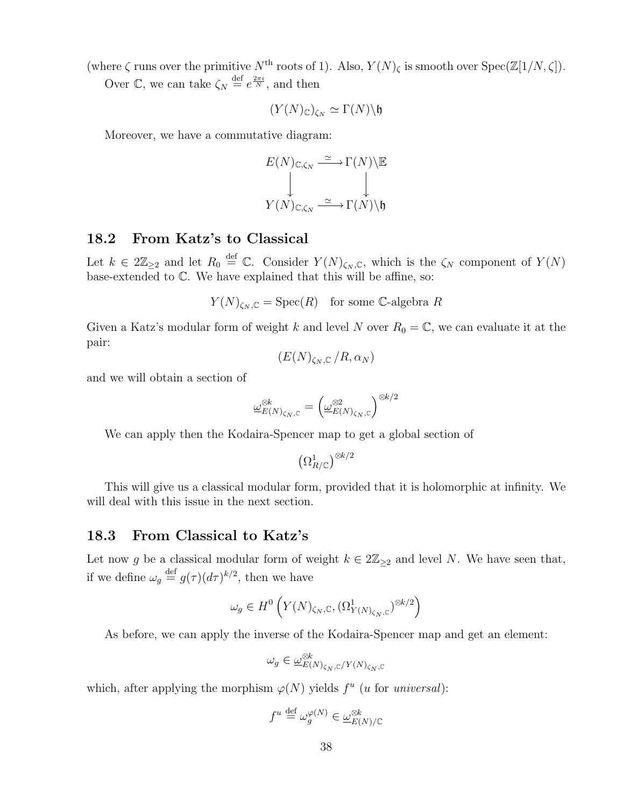(where  $\zeta$  runs over the primitive  $N^{\text{th}}$  roots of 1). Also,  $Y(N)_{\zeta}$  is smooth over  $\text{Spec}(\mathbb{Z}[1/N,\zeta])$ .

Over  $\mathbb{C}$ , we can take  $\zeta_N \stackrel{\text{def}}{=} e^{\frac{2\pi i}{N}}$ , and then

$$
(Y(N)_{\mathbb{C}})_{\zeta_N}\simeq \Gamma(N)\backslash \mathfrak{h}
$$

Moreover, we have a commutative diagram:

$$
E(N)_{\mathbb{C}, \zeta_N} \xrightarrow{\simeq} \Gamma(N) \backslash \mathbb{E}
$$
  

$$
\downarrow \qquad \qquad \downarrow
$$
  

$$
Y(N)_{\mathbb{C}, \zeta_N} \xrightarrow{\simeq} \Gamma(N) \backslash \mathfrak{h}
$$

#### 18.2 From Katz's to Classical

Let  $k \in 2\mathbb{Z}_{\geq 2}$  and let  $R_0 \stackrel{\text{def}}{=} \mathbb{C}$ . Consider  $Y(N)_{\zeta_N,\mathbb{C}}$ , which is the  $\zeta_N$  component of  $Y(N)$ base-extended to C. We have explained that this will be affine, so:

$$
Y(N)_{\zeta_N,\mathbb{C}} = \text{Spec}(R)
$$
 for some C-algebra R

Given a Katz's modular form of weight k and level N over  $R_0 = \mathbb{C}$ , we can evaluate it at the pair:

$$
(E(N)_{\zeta_N,\mathbb{C}}/R,\alpha_N)
$$

and we will obtain a section of

$$
\underline{\omega}_{E(N)_{\zeta_N,{\mathbb C}}}^{\otimes k} = \left(\underline{\omega}_{E(N)_{\zeta_N,{\mathbb C}}}^{\otimes 2}\right)^{\otimes k/2}
$$

We can apply then the Kodaira-Spencer map to get a global section of

$$
\left(\Omega^1_{R/\mathbb{C}}\right)^{\otimes k/2}
$$

This will give us a classical modular form, provided that it is holomorphic at infinity. We will deal with this issue in the next section.

#### 18.3 From Classical to Katz's

Let now g be a classical modular form of weight  $k \in 2\mathbb{Z}_{\geq 2}$  and level N. We have seen that, if we define  $\omega_g \stackrel{\text{def}}{=} g(\tau) (d\tau)^{k/2}$ , then we have

$$
\omega_g \in H^0\left(Y(N)_{\zeta_N,\mathbb{C}}, (\Omega^1_{Y(N)_{\zeta_N},\mathbb{C}})^{\otimes k/2}\right)
$$

As before, we can apply the inverse of the Kodaira-Spencer map and get an element:

$$
\omega_g \in \underline{\omega}_{E(N)_{\zeta_N,\mathbb{C}}/Y(N)_{\zeta_N,\mathbb{C}}}
$$

which, after applying the morphism  $\varphi(N)$  yields  $f^u$  (*u* for *universal*):

$$
f^u \stackrel{\text{def}}{=} \omega_g^{\varphi(N)} \in \underline{\omega}_{E(N)/\mathbb{C}}^{\otimes k}
$$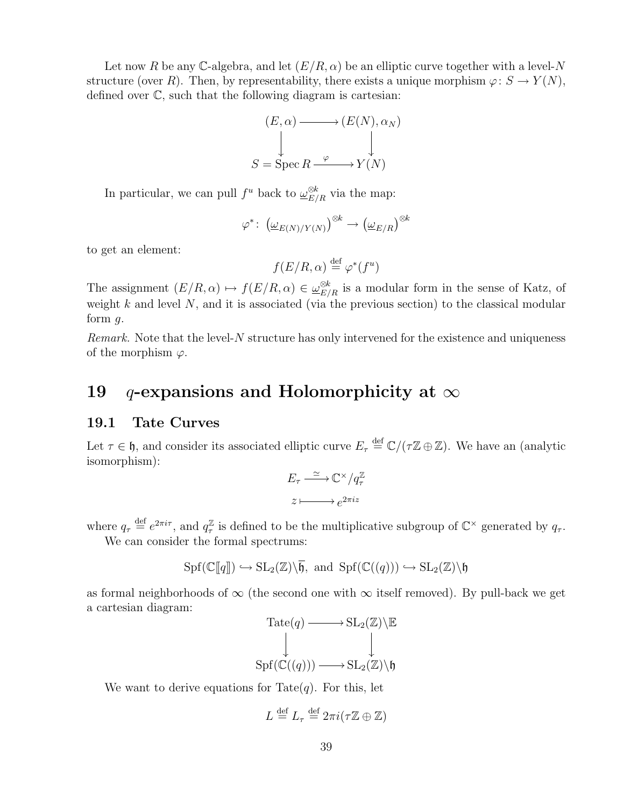Let now R be any C-algebra, and let  $(E/R, \alpha)$  be an elliptic curve together with a level-N structure (over R). Then, by representability, there exists a unique morphism  $\varphi: S \to Y(N)$ , defined over C, such that the following diagram is cartesian:

$$
(E, \alpha) \longrightarrow (E(N), \alpha_N)
$$
  
\n
$$
\downarrow
$$
  
\n
$$
S = \text{Spec } R \xrightarrow{\varphi} Y(N)
$$

In particular, we can pull  $f^u$  back to  $\underline{\omega}_{E/R}^{\otimes k}$  via the map:

$$
\varphi^* \colon \left(\underline{\omega}_{E(N)/Y(N)}\right)^{\otimes k} \to \left(\underline{\omega}_{E/R}\right)^{\otimes k}
$$

to get an element:

$$
f(E/R, \alpha) \stackrel{\text{def}}{=} \varphi^*(f^u)
$$

The assignment  $(E/R, \alpha) \mapsto f(E/R, \alpha) \in \underline{\omega}_{E/R}^{\otimes k}$  is a modular form in the sense of Katz, of weight  $k$  and level  $N$ , and it is associated (via the previous section) to the classical modular form  $q$ .

*Remark.* Note that the level- $N$  structure has only intervened for the existence and uniqueness of the morphism  $\varphi$ .

### 19 q-expansions and Holomorphicity at  $\infty$

#### 19.1 Tate Curves

Let  $\tau \in \mathfrak{h}$ , and consider its associated elliptic curve  $E_{\tau} \stackrel{\text{def}}{=} \mathbb{C}/(\tau \mathbb{Z} \oplus \mathbb{Z})$ . We have an (analytic isomorphism):

$$
E_{\tau} \xrightarrow{\simeq} \mathbb{C}^{\times}/q_{\tau}^{\mathbb{Z}}
$$

$$
z \longmapsto e^{2\pi i z}
$$

where  $q_{\tau} \stackrel{\text{def}}{=} e^{2\pi i \tau}$ , and  $q_{\tau}^{\mathbb{Z}}$  $\frac{\mathbb{Z}}{\tau}$  is defined to be the multiplicative subgroup of  $\mathbb{C}^{\times}$  generated by  $q_{\tau}$ . We can consider the formal spectrums:

$$
\mathrm{Spf}(\mathbb{C}[\![q]\!])\hookrightarrow \mathrm{SL}_2(\mathbb{Z})\backslash\overline{\mathfrak{h}}, \text{ and } \mathrm{Spf}(\mathbb{C}((q)))\hookrightarrow \mathrm{SL}_2(\mathbb{Z})\backslash\mathfrak{h}
$$

as formal neighborhoods of  $\infty$  (the second one with  $\infty$  itself removed). By pull-back we get a cartesian diagram:

$$
Tate(q) \longrightarrow SL_2(\mathbb{Z}) \backslash \mathbb{E}
$$
  
\n
$$
\downarrow \qquad \qquad \downarrow
$$
  
\n
$$
Spf(\mathbb{C}((q))) \longrightarrow SL_2(\mathbb{Z}) \backslash \mathfrak{h}
$$

We want to derive equations for Tate $(q)$ . For this, let

$$
L \stackrel{\text{def}}{=} L_{\tau} \stackrel{\text{def}}{=} 2\pi i (\tau \mathbb{Z} \oplus \mathbb{Z})
$$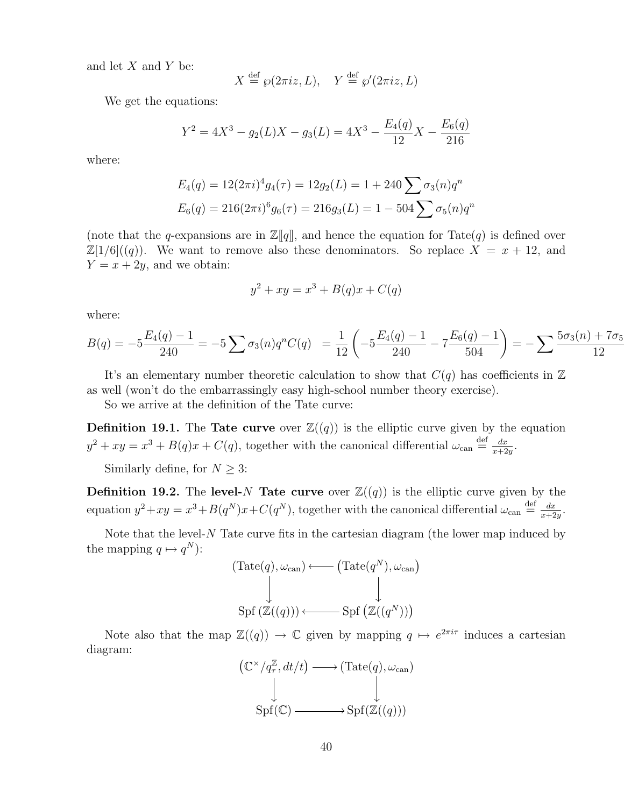and let  $X$  and  $Y$  be:

$$
X \stackrel{\text{def}}{=} \wp(2\pi i z, L), \quad Y \stackrel{\text{def}}{=} \wp'(2\pi i z, L)
$$

We get the equations:

$$
Y^{2} = 4X^{3} - g_{2}(L)X - g_{3}(L) = 4X^{3} - \frac{E_{4}(q)}{12}X - \frac{E_{6}(q)}{216}
$$

where:

$$
E_4(q) = 12(2\pi i)^4 g_4(\tau) = 12g_2(L) = 1 + 240 \sum \sigma_3(n) q^n
$$
  

$$
E_6(q) = 216(2\pi i)^6 g_6(\tau) = 216g_3(L) = 1 - 504 \sum \sigma_5(n) q^n
$$

(note that the q-expansions are in  $\mathbb{Z}[\![q]\!]$ , and hence the equation for Tate(q) is defined over  $\mathbb{Z}[1/6]((q))$ . We want to remove also these denominators. So replace  $X = x + 12$ , and  $Y = x + 2y$ , and we obtain:

$$
y^2 + xy = x^3 + B(q)x + C(q)
$$

where:

$$
B(q) = -5\frac{E_4(q) - 1}{240} = -5\sum \sigma_3(n)q^nC(q) = \frac{1}{12}\left(-5\frac{E_4(q) - 1}{240} - 7\frac{E_6(q) - 1}{504}\right) = -\sum \frac{5\sigma_3(n) + 7\sigma_5}{12}
$$

It's an elementary number theoretic calculation to show that  $C(q)$  has coefficients in  $\mathbb Z$ as well (won't do the embarrassingly easy high-school number theory exercise).

So we arrive at the definition of the Tate curve:

**Definition 19.1.** The **Tate curve** over  $\mathbb{Z}((q))$  is the elliptic curve given by the equation  $y^2 + xy = x^3 + B(q)x + C(q)$ , together with the canonical differential  $\omega_{\text{can}} \stackrel{\text{def}}{=} \frac{dx}{x+2}$  $\frac{dx}{x+2y}$ .

Similarly define, for  $N\geq 3:$ 

**Definition 19.2.** The level-N Tate curve over  $\mathbb{Z}((q))$  is the elliptic curve given by the equation  $y^2 + xy = x^3 + B(q^N)x + C(q^N)$ , together with the canonical differential  $\omega_{\text{can}} \stackrel{\text{def}}{=} \frac{dx}{x+2}$  $\frac{dx}{x+2y}$ .

Note that the level- $N$  Tate curve fits in the cartesian diagram (the lower map induced by the mapping  $q \mapsto q^N$ :

$$
(\text{Tate}(q), \omega_{\text{can}}) \longleftarrow (\text{Tate}(q^N), \omega_{\text{can}})
$$
  
\n
$$
\downarrow \qquad \qquad \downarrow
$$
  
\n
$$
\text{Spf}(\mathbb{Z}((q))) \longleftarrow \text{Spf}(\mathbb{Z}((q^N)))
$$

Note also that the map  $\mathbb{Z}((q)) \to \mathbb{C}$  given by mapping  $q \mapsto e^{2\pi i \tau}$  induces a cartesian diagram:

$$
(\mathbb{C}^{\times}/q_{\tau}^{\mathbb{Z}}, dt/t) \longrightarrow (\text{Tate}(q), \omega_{\text{can}})
$$
  
\n
$$
\downarrow \qquad \qquad \downarrow
$$
  
\n
$$
\text{Spf}(\mathbb{C}) \longrightarrow \text{Spf}(\mathbb{Z}((q)))
$$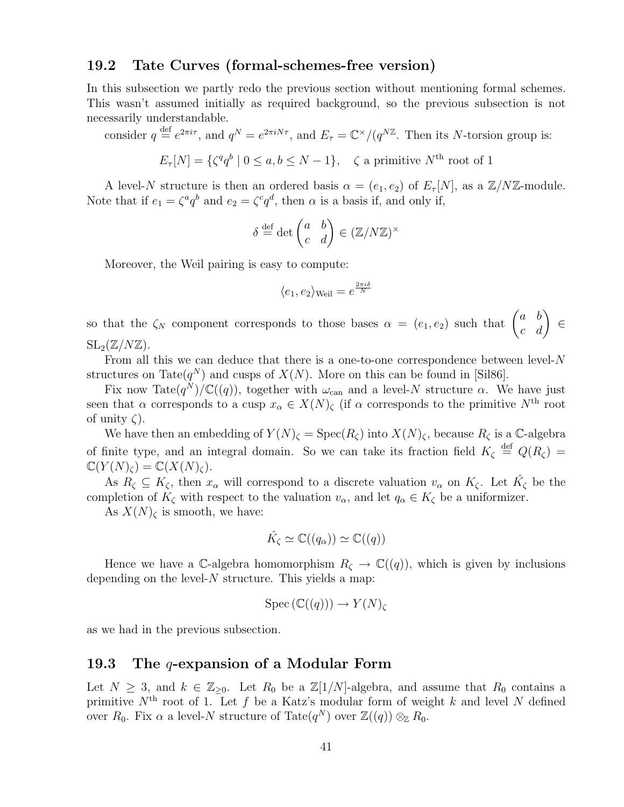#### 19.2 Tate Curves (formal-schemes-free version)

In this subsection we partly redo the previous section without mentioning formal schemes. This wasn't assumed initially as required background, so the previous subsection is not necessarily understandable.

consider  $q \stackrel{\text{def}}{=} e^{2\pi i \tau}$ , and  $q^N = e^{2\pi i N \tau}$ , and  $E_\tau = \mathbb{C}^\times/(q^{N\mathbb{Z}})$ . Then its N-torsion group is:

$$
E_{\tau}[N] = \{ \zeta^q q^b \mid 0 \le a, b \le N - 1 \}, \quad \zeta \text{ a primitive } N^{\text{th}} \text{ root of } 1
$$

A level-N structure is then an ordered basis  $\alpha = (e_1, e_2)$  of  $E_\tau[N]$ , as a  $\mathbb{Z}/N\mathbb{Z}$ -module. Note that if  $e_1 = \zeta^a q^b$  and  $e_2 = \zeta^c q^d$ , then  $\alpha$  is a basis if, and only if,

$$
\delta \stackrel{\text{def}}{=} \det \begin{pmatrix} a & b \\ c & d \end{pmatrix} \in (\mathbb{Z}/N\mathbb{Z})^{\times}
$$

Moreover, the Weil pairing is easy to compute:

$$
\langle e_1, e_2 \rangle_{\text{Weil}} = e^{\frac{2\pi i \delta}{N}}
$$

so that the  $\zeta_N$  component corresponds to those bases  $\alpha = (e_1, e_2)$  such that  $\begin{pmatrix} a & b \\ c & d \end{pmatrix} \in$  $SL_2(\mathbb{Z}/N\mathbb{Z})$ .

From all this we can deduce that there is a one-to-one correspondence between level-N structures on Tate $(q^N)$  and cusps of  $X(N)$ . More on this can be found in [Sil86].

Fix now Tate $(q^N)/\mathbb{C}((q))$ , together with  $\omega_{\text{can}}$  and a level-N structure  $\alpha$ . We have just seen that  $\alpha$  corresponds to a cusp  $x_{\alpha} \in X(N)_{\zeta}$  (if  $\alpha$  corresponds to the primitive N<sup>th</sup> root of unity  $\zeta$ ).

We have then an embedding of  $Y(N)_{\zeta} = \text{Spec}(R_{\zeta})$  into  $X(N)_{\zeta}$ , because  $R_{\zeta}$  is a C-algebra of finite type, and an integral domain. So we can take its fraction field  $K_{\zeta} \stackrel{\text{def}}{=} Q(R_{\zeta}) =$  $\mathbb{C}(Y(N)_{\mathcal{C}}) = \mathbb{C}(X(N)_{\mathcal{C}}).$ 

As  $R_{\zeta} \subseteq K_{\zeta}$ , then  $x_{\alpha}$  will correspond to a discrete valuation  $v_{\alpha}$  on  $K_{\zeta}$ . Let  $\hat{K}_{\zeta}$  be the completion of  $K_{\zeta}$  with respect to the valuation  $v_{\alpha}$ , and let  $q_{\alpha} \in K_{\zeta}$  be a uniformizer.

As  $X(N)_{\zeta}$  is smooth, we have:

$$
\hat{K}_{\zeta} \simeq \mathbb{C}((q_{\alpha})) \simeq \mathbb{C}((q))
$$

Hence we have a C-algebra homomorphism  $R_{\zeta} \to \mathbb{C}((q))$ , which is given by inclusions depending on the level- $N$  structure. This yields a map:

$$
Spec\left(\mathbb{C}((q)\right)) \to Y(N)_{\zeta}
$$

as we had in the previous subsection.

#### 19.3 The q-expansion of a Modular Form

Let  $N \geq 3$ , and  $k \in \mathbb{Z}_{\geq 0}$ . Let  $R_0$  be a  $\mathbb{Z}[1/N]$ -algebra, and assume that  $R_0$  contains a primitive  $N<sup>th</sup>$  root of 1. Let f be a Katz's modular form of weight k and level N defined over  $R_0$ . Fix  $\alpha$  a level-N structure of Tate $(q^N)$  over  $\mathbb{Z}((q)) \otimes_{\mathbb{Z}} R_0$ .